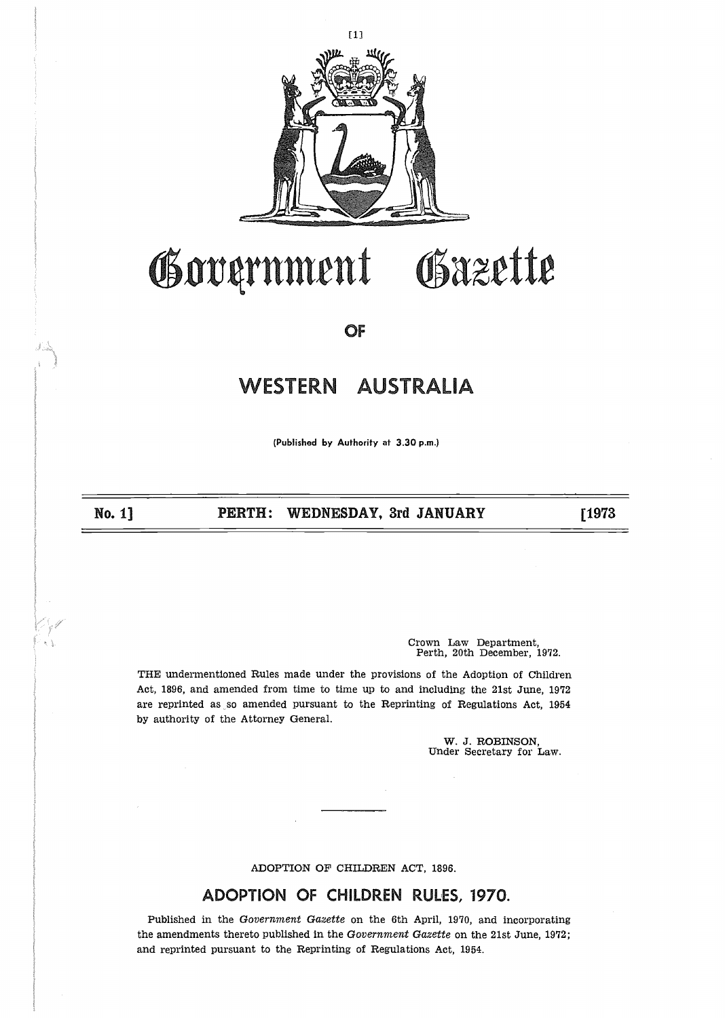

## Government . . DAZL

OF

## **WESTERN AUSTRALIA**

(Published by Authority at 3 .30 p.m.)

No, 1]

PERTH: WEDNESDAY, 3rd JANUARY [1973]

Crown Law Department, Perth, 20th December, 1972.

THE undermentioned Rules made under the provisions of the Adoption of Children Act, 1896, and amended from time to time up to and including the 21st June, 1972 are reprinted as so amended pursuant to the Reprinting of Regulations Act, 1954 by authority of the Attorney General.

W. J. ROBINSON,<br>Under Secretary for Law.

ADOPTION OF CHILDREN ACT, 1896.

## ADOPTION OF CHILDREN RULES, 1970.

Published in the Government Gazette on the 6th April, 1970, and incorporating the amendments thereto published in the Government Gazette on the 21st June, 1972; and reprinted pursuant to the Reprinting of Regulations Act, 1954.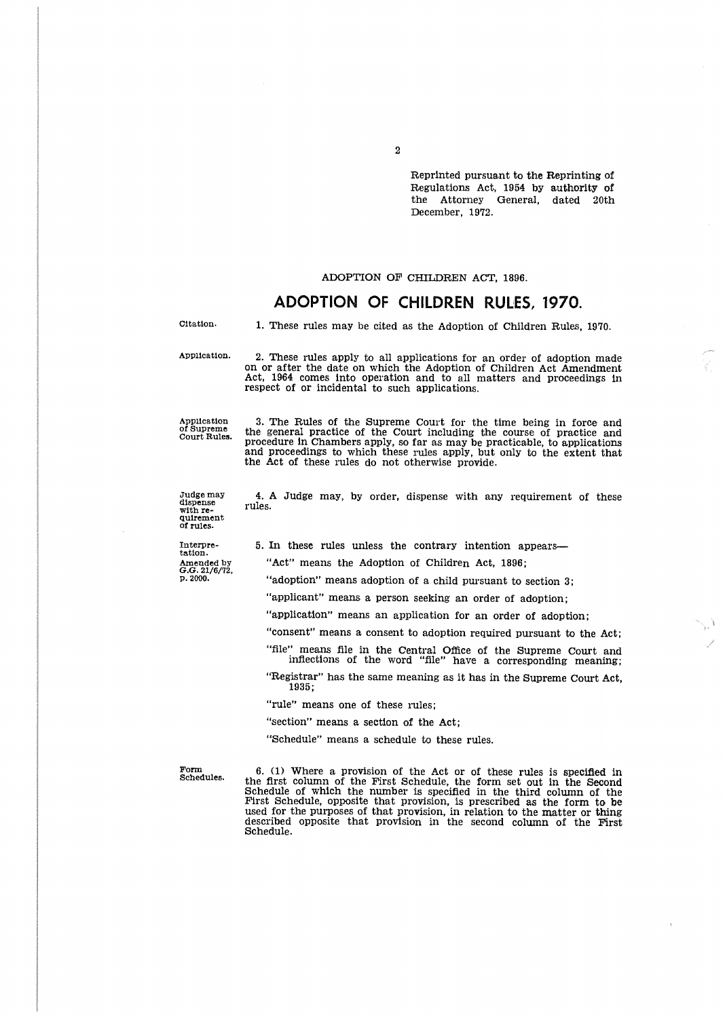Reprinted pursuant to the Reprinting of Regulations Act, 1954 by authority of<br>the Attorney General, dated 20th General, dated 20th December, 1972.

#### ADOPTION OF CHILDREN ACT, 1896.

## ADOPTION OF CHILDREN RULES, 1970.

Citation.

1. These rules may be cited as the Adoption of Children Rules, 1970.

Application.

2 . These rules apply to all applications for an order of adoption made on or after the date on which the Adoption of Children Act Amendment Act, 1964 comes into operation and to all matters and proceedings in respect of or incidental to such applications.

Application 3. The Rules of the Supreme Court for the time being in force and<br>of Supreme the general practice of the Court including the course of practice and<br>procedure in Chambers apply, so far as may be practicable, to and proceedings to which these rules apply, but only to the extent that the Act of these rules do not otherwise provide.

4 . A Judge may, by order, dispense with any requirement of these

Judge may dispense with requirement of rules.

rules .

Interpretation . Amended by G.G. 21/6/72, p . 2000 . 5. In these rules unless the contrary intention appears-

"Act" means the Adoption of Children Act, 1896;

"adoption" means adoption of a child pursuant to section 3;

"applicant" means a person seeking an order of adoption;

"application" means an application for an order of adoption;

"consent" means a consent to adoption required pursuant to the Act;

ine means file in the Central Office of the Supreme Court and inflections of the word "file" have a corresponding meaning;

"Registrar" has the same meaning as it has in the Supreme Court Act, 1935 ;

"rule" means one of these rules;

"section" means a section of the Act;

"Schedule" means a schedule to these rules.

Form Schedules.

6 . (1) Where a provision of the Act or of these rules is specified in the first column of the First Schedule, the form set out in the Second Schedule of which the number is specified in the third column of the First Schedule, opposite that provision, is prescribed as the form to be used for the purposes of that provision, in relation to the matter or thing described opposite that provision in the second column of the First Schedule.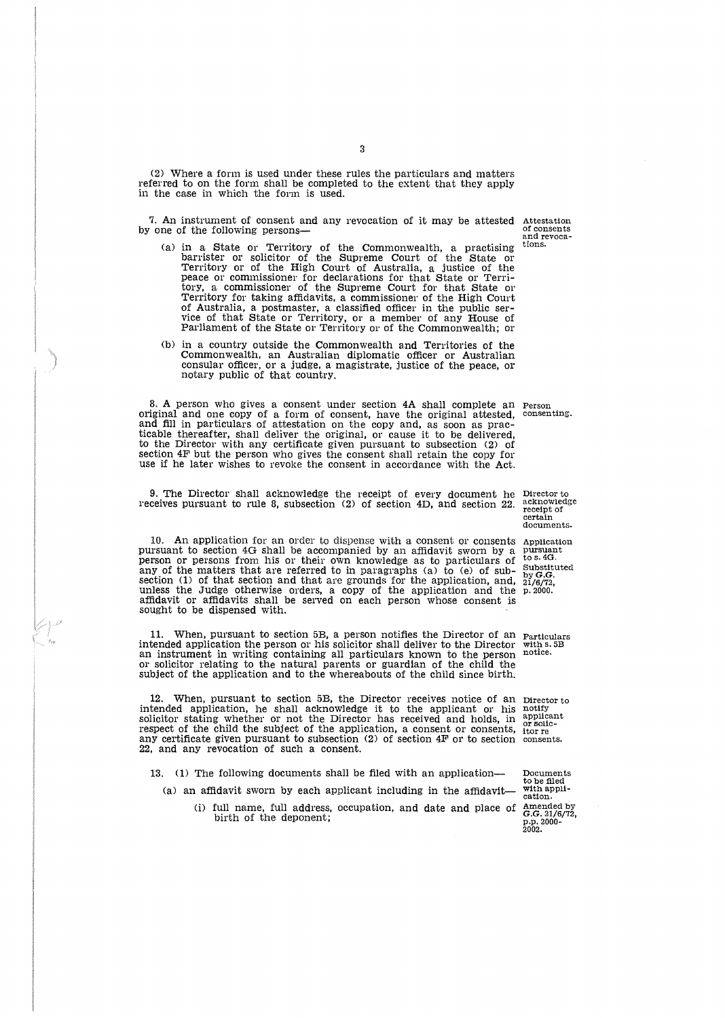(2) Where a form is used under these rules the particulars and matters referred to on the form shall be completed to the extent that they apply in the case in which the form is used.

7. An instrument of consent and any revocation of it may be attested by one of the following persons-

- (a) in a State or Territory of the Commonwealth, a practising barrister or solicitor of the Supreme Court of the State or Territory or of the High Court of Australia, a justice of the peace or commissioner for declarations for that State or Terri-tory, a commissioner of the Supreme Court for that State or Territory for taking affidavits, a commissioner of the High Court of Australia, a postmaster, a classified officer in the public ser-<br>vice of that State or Territory, or a member of any House of<br>Parliament of the State or Territory or of the Commonwealth; or
- (b) in a country outside the Commonwealth and Territories of the Commonwealth, an Australian diplomatic officer or Australian consular officer, or a judge, a magistrate, justice of the peace, or notary public of that country.

8. A person who gives a consent under section  $4A$  shall complete an Person diginal and one conv of a form of consenting have the original attacted consenting. original and one copy of a form of consent, have the original attested, consenting.<br>and fill in particulars of attestation on the copy and, as soon as practicable thereafter, shall deliver the original, or cause it to be delivered, to the Director with any certificate given pursuant to subsection (2) of section 4F but the person who gives the consent shall retain the copy for use if he later wishes to revoke the consent in accordance with the Act.

9 . The Director shall acknowledge the receipt of every document he receives pursuant to rule 8, subsection  $(2)$  or section  $4D$ , and section  $22$ .

In. An application for an order to dispense with a consent or consentation and pursuant to section 4G shall be accompanied by an affidavit sworn by a person or persons from his or their own knowledge as to particulars of any of the matters that are referred to in paragraphs (a) to (e) of subsection (1) of that section and that are grounds for the application, and, unless the Judge otherwise orders, a copy of the application and the affidavit or affidavits shall be served on each person whose consent i sought to be dispensed with. Application<br>pursuant<br>to s. 4G. Substituted

11 . When, pursuant to section 5B, a person notifies the Director of an Particulars intended application the person or his solicitor shall deliver to the Director an instrument in writing containing all particulars known to the person or solicitor relating to the natural parents or guardian of the child the subject of the application and to the whereabouts of the child since birth.

12. When, pursuant to section 5B, the Director receives notice of an Director to intended application, he shall acknowledge it to the applicant or his solicitor stating whether or not the Director has received and holds, in respect of the child the subject of the application, a consent or consents, any certificate given pursuant to subsection (2) of section 4F or to section 22, and any revocation of such a consent.

13. (1) The following documents shall be filed with an application-

(a) an affidavit sworn by each applicant including in the affidavit-

(i) full name, full address, occupation, and date and place of birth of the deponent;

by **G.G.**<br>21/6/72, p. 2000

with s. 5B<br>notice.

notify<br>applicant<br>or solic-<br>itor re consents.

Documents to be filed with application . Amended by G.G . 21/6/72, p .p . 2000- 2002 .

Director to acknowledge receipt of certain documents .

Attestation of consents and revocations.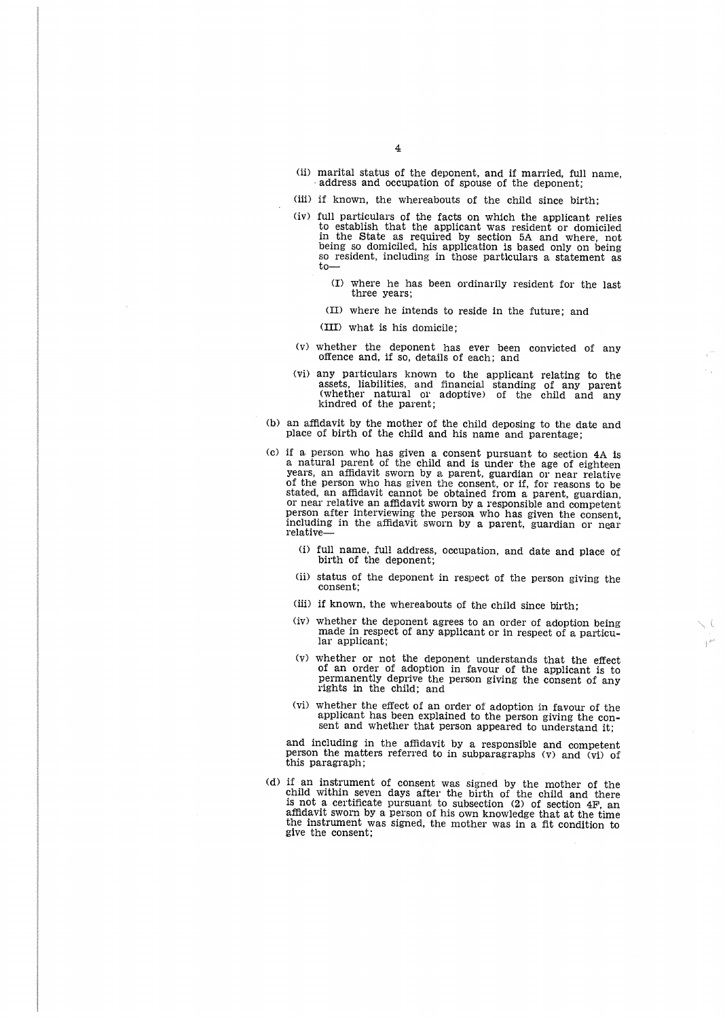- (ii) marital status of the deponent, and if married, full name, address and occupation of spouse of the deponent;
- (iii) if known, the whereabouts of the child since birth;
- (iv) full particulars of the facts on which the applicant relies to establish that the applicant was resident or domiciled in the State as required by section 5A and where, not being so domiciled, his application is based only on being so resident, including in those particulars a statement as to-
	- (I) where he has been ordinarily resident for the last three years;
	- (II) where he intends to reside in the future; and
	- (III) what is his domicile ;
- (v) whether the deponent has ever been convicted of any offence and, if so, details of each; and
- (vi) any particulars known to the applicant relating to the assets, liabilities, and financial standing of any parent (whether natural or adoptive) of the child and any kindred of the parent ;
- (b) an affidavit by the mother of the child deposing to the date and place of birth of the child and his name and parentage:
- (c) if a. person who has given a consent pursuant to section 4A Is a natural parent of the child and is under the age of eighteen years, an affidavit sworn by a parent, guardian or near relative of the person who has given the consent, or if, for reasons to be stated, an affidavit cannot be obtained from a parent, guardian, or near relative an affidavit sworn by a responsible and competent person after interviewing the person who has given the consent, including in the affidavit sworn by a parent, guardian or near relative-
	- (I) full name, full address, occupation, and date and place of birth of the deponent;
	- (ii) status of the deponent in respect of the person giving the consent;
	- (iii) if known, the whereabouts of the child since birth;
	- (iv) whether the deponent agrees to an order of adoption being made in respect of any applicant or in respect of a particular applicant;
	- (v) whether or not the deponent understands that the effect of an order of adoption in favour of the applicant is to permanently deprive the person giving the consent of any rights in the child; and
	- (vi) whether the effect of an order of adoption in favour of the applicant has been explained to the person giving the consent and whether that person appeared to understand it:

and including in the affidavit by a responsible and competent person the matters referred to in subparagraphs (v) and (vi) of this paragraph ;

(d) if an instrument of consent was signed by the mother of the child within seven days after the birth of the child and there is not a certificate pursuant to subsection (2) of section 4F, an affidavit sworn by a person of his own knowledge that at the time the instrument was signed, the mother was in a fit condition to give the consent;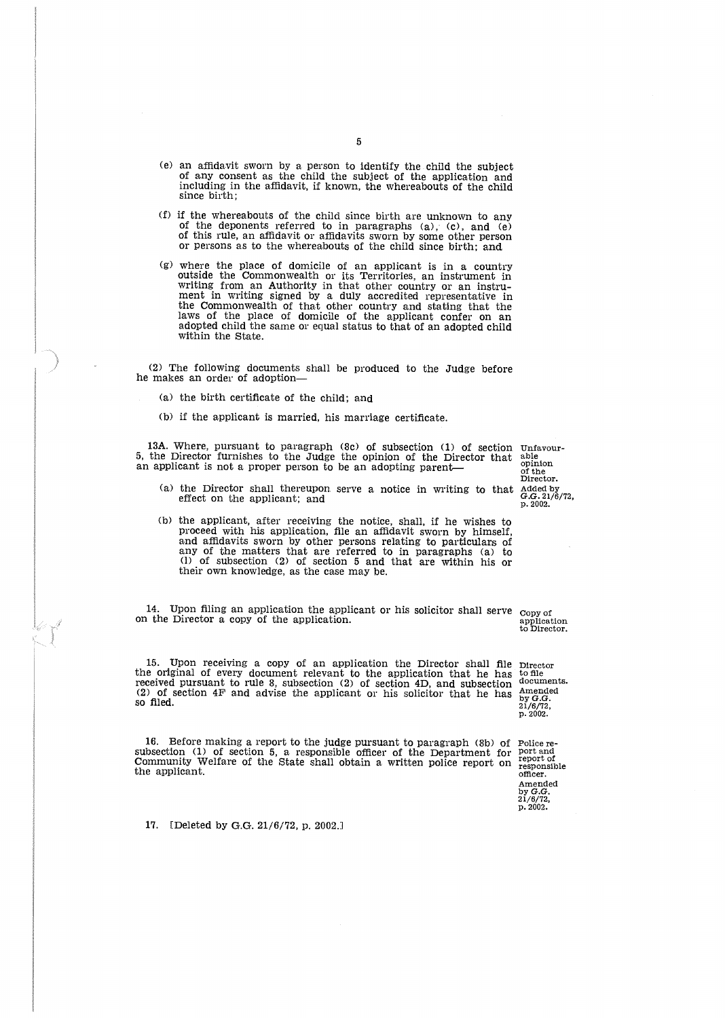- (e) an affidavit sworn by a person to identify the child the subject of any consent as the child the subject of the application and including in the affidavit, if known, the whereabouts of the child since birth:
- (f) if the whereabouts of the child since birth are unknown to any of the deponents referred to in paragraphs (a), (c), and (e) of this rule, an affidavit or affidavits sworn by some other person or persons as to the whereabouts of the child since birth; and
- (g) where the place of domicile of an applicant is in a country outside the Commonwealth or its Territories, an instrument in writing from an Authority in that other country or an instrument in writing signed by a duly accredited representative in the Commonwealth of that other country and stating that the laws of the place of domicile of the applicant confer on an adopted child the same or equal status to that of an adopted child within the State.

(2) The following documents shall be produced to the Judge before<br>he makes an order of adoption—

- (a) the birth certificate of the child; and
- (b) if the applicant is married, his marriage certificate.

13A. Where, pursuant to paragraph (8c) of subsection (1) of section 5, the Director furnishes to the Judge the opinion of the Director that<br>an applicant is not a proper person to be an adopting parent— Unfavourable opinion of the Director .

- (a) the Director shall thereupon serve a notice in writing to that Added by<br>effect on the applicant; and  $G.G. 21/6/72$ ,<br>p. 2002.
- (b) the applicant, after receiving the notice, shall, if he wishes to proceed with his application, file an affidavit sworn by himself, and amuavity sworn by other persons relating to particulars of any of the matters that are referred to in paragraphs (a) to (1) of subsection (2) of section 5 and that are within his or their own knowledge, as the case may be.

14. Upon filing an application the applicant or his solicitor shall serve Copy of on the Director a copy of the application.

15 . Upon receiving a copy of an application the Director shall file Director the original of every document relevant to the application that he has received pursuant to rule 8, subsection (2) of section 4D, and subsection (2) of section 4F and advise the applicant or his solicitor that he has so filed.

16 . Before making a report to the judge pursuant to paragraph (8b) of subsection (1) of section 5, a responsible officer of the Department for Community Welfare of the State shall obtain a written police report on the applicant.

application to Director .

to file documents. Amended<br>by G.G.<br>21/6/72,<br>p. 2002.

Police re-port and report of responsible officer . Amended by G.G. 21/6/72, p .2002.

17. [Deleted by G.G. 21/6/72, p. 2002.]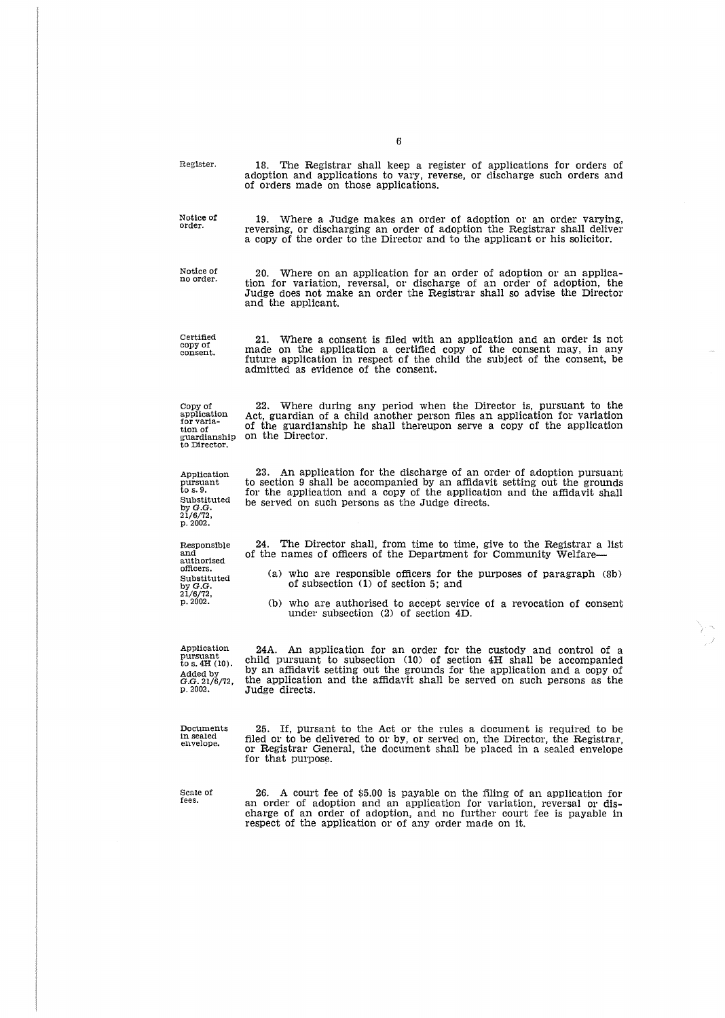| Register.                                                                               | 18. The Registrar shall keep a register of applications for orders of<br>adoption and applications to vary, reverse, or discharge such orders and<br>of orders made on those applications.                                                                                                                           |
|-----------------------------------------------------------------------------------------|----------------------------------------------------------------------------------------------------------------------------------------------------------------------------------------------------------------------------------------------------------------------------------------------------------------------|
| Notice of<br>order.                                                                     | 19. Where a Judge makes an order of adoption or an order varying,<br>reversing, or discharging an order of adoption the Registrar shall deliver<br>a copy of the order to the Director and to the applicant or his solicitor.                                                                                        |
| Notice of<br>no order.                                                                  | 20. Where on an application for an order of adoption or an applica-<br>tion for variation, reversal, or discharge of an order of adoption, the<br>Judge does not make an order the Registrar shall so advise the Director<br>and the applicant.                                                                      |
| Certified<br>copy of<br>consent.                                                        | Where a consent is filed with an application and an order is not<br>21.<br>made on the application a certified copy of the consent may, in any<br>future application in respect of the child the subject of the consent, be<br>admitted as evidence of the consent.                                                  |
| Copy of<br>application<br>for varia-<br>tion of<br>guardianship<br>to Director.         | Where during any period when the Director is, pursuant to the<br>22.<br>Act, guardian of a child another person files an application for variation<br>of the guardianship he shall thereupon serve a copy of the application<br>on the Director.                                                                     |
| Application<br>pursuant<br>to s. 9.<br>Substituted<br>by G.G.<br>21/6/72,<br>p. 2002.   | An application for the discharge of an order of adoption pursuant<br>23.<br>to section 9 shall be accompanied by an affidavit setting out the grounds<br>for the application and a copy of the application and the affidavit shall<br>be served on such persons as the Judge directs.                                |
| Responsible<br>and                                                                      | The Director shall, from time to time, give to the Registrar a list<br>24.<br>of the names of officers of the Department for Community Welfare—                                                                                                                                                                      |
| authorised<br>officers.<br>Substituted<br>by G.G.                                       | (a) who are responsible officers for the purposes of paragraph (8b)<br>of subsection $(1)$ of section 5; and                                                                                                                                                                                                         |
| 21/6/72,<br>p. 2002.                                                                    | (b) who are authorised to accept service of a revocation of consent<br>under subsection $(2)$ of section $4D$ .                                                                                                                                                                                                      |
| Application<br>pursuant<br>to s. $4H(10)$ .<br>Added by<br>$G.G. 21/6/72$ ,<br>p. 2002. | 24A. An application for an order for the custody and control of a<br>child pursuant to subsection (10) of section 4H shall be accompanied<br>by an affidavit setting out the grounds for the application and a copy of<br>the application and the affidavit shall be served on such persons as the<br>Judge directs. |
| Documents<br>in sealed<br>envelope.                                                     | 25.<br>If, pursant to the Act or the rules a document is required to be<br>filed or to be delivered to or by, or served on, the Director, the Registrar,<br>or Registrar General, the document shall be placed in a sealed envelope<br>for that purpose.                                                             |
| Scale of<br>fees.                                                                       | 26. A court fee of \$5.00 is payable on the filing of an application for<br>an order of adoption and an application for variation, reversal or dis-<br>charge of an order of adoption, and no further court fee is payable in<br>respect of the application or of any order made on it.                              |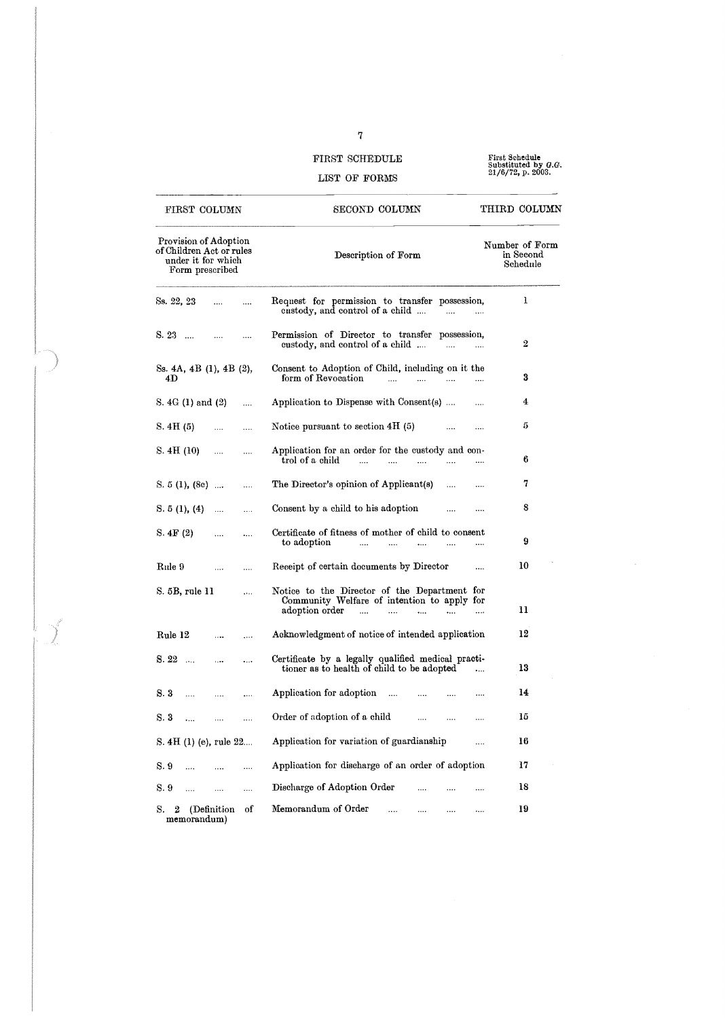## FIRST SCHEDULE LIST OF FORMS

First Sehedule Substituted by G .G. 21/0/72, p. 2003 .

### Provision of Adoption Number of Form of Children Act or rules Description of Form in Second under it for which Schedule Form prescribed  $\mathbf{1}$ Ss. 22, 23 Request for permission to transfer possession, custody, and control of a child . . . . . . . . S. 23 .... .... .... Permission of Director to transfer possession,<br>custody, and control of a child .... .... ..... 2 Ss. 4A, 4B (1), 4B (2), Consent to Adoption of Child, including on it the 4D form of Revocation and the same state of the series of the series of the series of the series of the series S.  $4G (1)$  and  $(2)$  .... Application to Dispense with Consent(s) .... ... 4 S. 4H (5)  $\ldots$   $\ldots$  Notice pursuant to section 4H (5)  $\ldots$   $\ldots$ S. 4H (10)  $\ldots$  Application for an order for the custody and con-<br>trol of a child  $\ldots$   $\ldots$   $\ldots$   $\ldots$ trol of a child . . . . . . . . . . . . 6 S. 5(1), (8e) ... ... The Director's opinion of Applicant(s) .... .... 7<br>
S. 5(1), (4) .... ... Consent by a child to his adoption .... .... 8<br>
S. 4F(2) .... ... Certificate of fitness of mother of child to consent S.  $5(1)$ ,  $(8c)$  .... .... The Director's opinion of Applicant $(s)$  .... .... 7 S. 4F (2) .... .... Certificate of fitness of mother of child to consent<br>to adoption .... .... .... .... .... . . . . . . . . . .. . 9 to adoption 10 Rule 9  $\ddotsc$ Receipt of certain documents by Director  $\ddotsc$  $\cdots$ S. 5B, rule 11  $\mathcal{L}_{\text{max}}$ Notice to the Director of the Department for Community Welfare of intention to apply for adoption order . . . . . . . . . . . . . . . . . . . . 11

Rule 12 Acknowledgment of notice of intended application 12 S. 22 .... .... Certificate by a legally qualified medical practi-<br>tioner as to health of child to be adopted .... 13 8.3 .... .... .... Application for adoption .... .... .... .... 14 S. 3 .... .... .... Order of adoption of a child .... .... .... 15 S. 4H (1) (e), rule 22.... Application for variation of guardianship .... 16 S. 9 .... .... .... Application for discharge of an order of adoption 17 S. 9 .... .... .... Discharge of Adoption Order .... .... .... 18 S. 2 (Definition of Memorandum of Order .... .... .... .... 19

memorandum)

## FIRST COLUMN SECOND COLUMN

THIRD COLUMN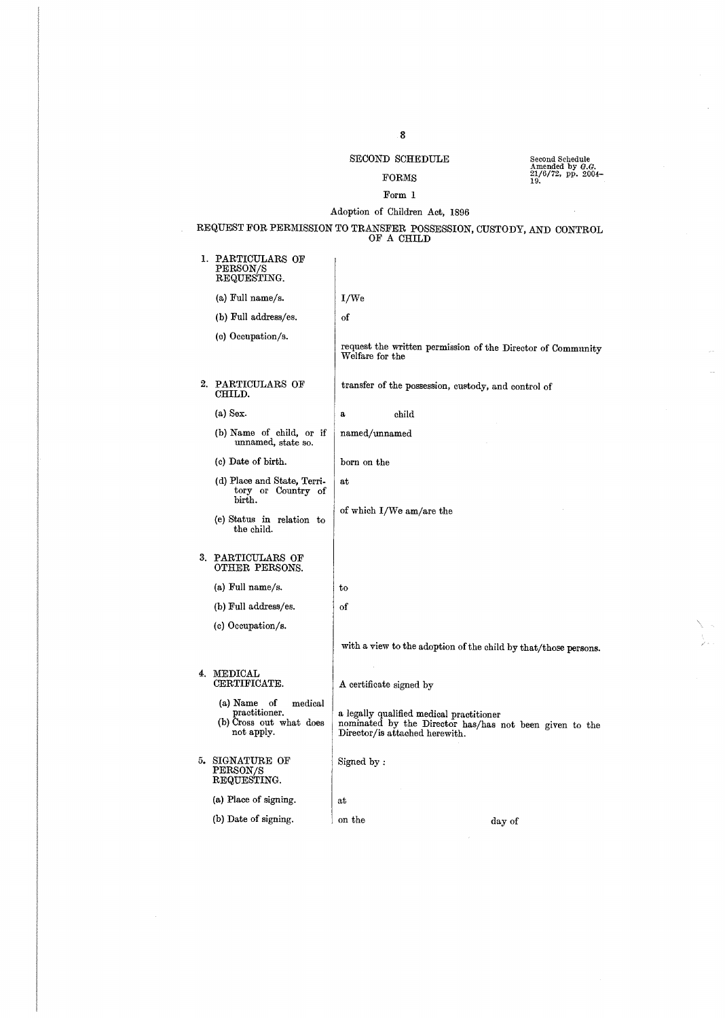## $\rm SECOND$   $\rm SCHEDULE$

#### FORMS

## Amended by G.G. 21/6/72, pp. 2004- 19 .

## Form 1 Adoption of Children Act, 1896

REQUEST FOR PERMISSION TO TRANSFER POSSESSION, CUSTODY, AND CONTROL OF A CHILD

| 1. PARTICULARS OF<br><b>PERSON/S</b><br>REQUESTING.                                 |                         |                                                                            |                                                                 |
|-------------------------------------------------------------------------------------|-------------------------|----------------------------------------------------------------------------|-----------------------------------------------------------------|
| (a) Full name/s.                                                                    | I/We                    |                                                                            |                                                                 |
| (b) Full address/es.                                                                | οf                      |                                                                            |                                                                 |
| (c) Occupation/s.                                                                   | Welfare for the         |                                                                            | request the written permission of the Director of Community     |
| 2. PARTICULARS OF<br>CHILD.                                                         |                         | transfer of the possession, custody, and control of                        |                                                                 |
| $(a)$ Sex.                                                                          | a                       | child                                                                      |                                                                 |
| (b) Name of child, or if<br>unnamed, state so.                                      | named/unnamed           |                                                                            |                                                                 |
| (c) Date of birth.                                                                  | born on the             |                                                                            |                                                                 |
| (d) Place and State, Terri-<br>tory or Country of<br>birth.                         | at                      |                                                                            |                                                                 |
| (e) Status in relation to<br>the child.                                             |                         | of which I/We am/are the                                                   |                                                                 |
| 3. PARTICULARS OF<br>OTHER PERSONS.                                                 |                         |                                                                            |                                                                 |
| (a) Full name/s.                                                                    | to                      |                                                                            |                                                                 |
| (b) Full address/es.                                                                | of                      |                                                                            |                                                                 |
| (c) Occupation/s.                                                                   |                         |                                                                            |                                                                 |
|                                                                                     |                         |                                                                            | with a view to the adoption of the child by that/those persons. |
| 4. MEDICAL<br>CERTIFICATE.                                                          | A certificate signed by |                                                                            |                                                                 |
| (a) Name<br>of<br>medical<br>practitioner.<br>(b) Cross out what does<br>not apply. |                         | a legally qualified medical practitioner<br>Director/is attached herewith. | nominated by the Director has/has not been given to the         |
| 5. SIGNATURE OF<br>PERSON/S<br>REQUESTING.                                          | Signed by:              |                                                                            |                                                                 |
| (a) Place of signing.                                                               | at                      |                                                                            |                                                                 |
| (b) Date of signing.                                                                | on the                  |                                                                            | day of                                                          |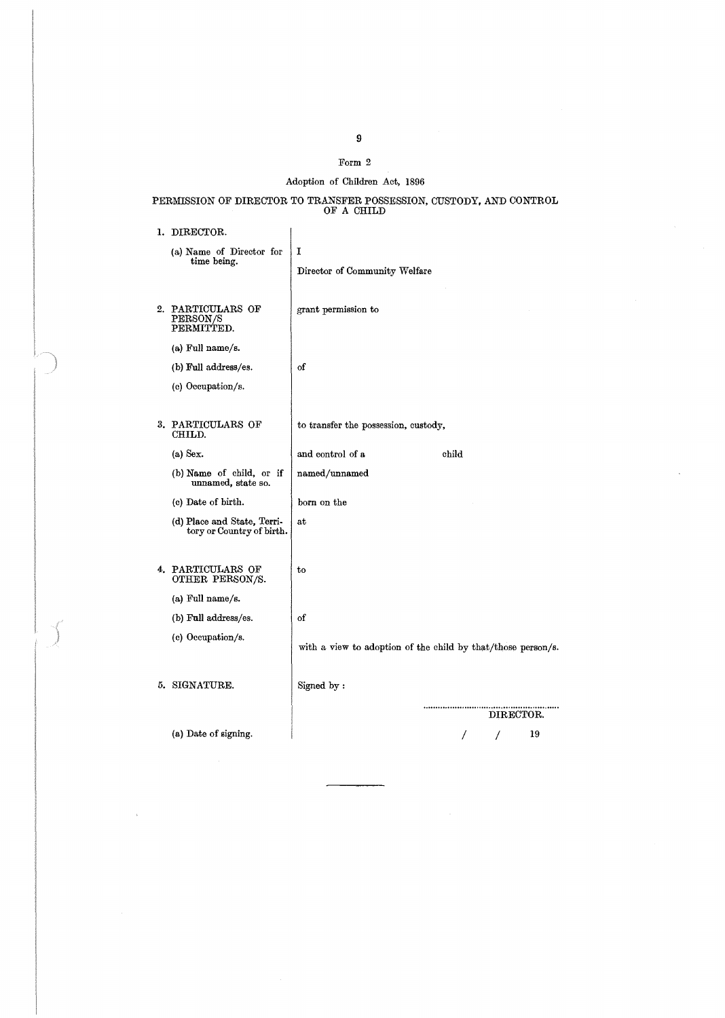### Form 2

## Adoption of Children Act, 1896

## PERMISSION OF DIRECTOR TO TRANSFER POSSESSION, CUSTODY, AND CONTROL OF A CHILD

 $\overline{\phantom{a}}$ 

1. DIRECTOR.

| (a) Name of Director for<br>time being.                  | I<br>Director of Community Welfare                           |
|----------------------------------------------------------|--------------------------------------------------------------|
| 2. PARTICULARS OF<br>PERSON/S<br>PERMITTED.              | grant permission to                                          |
| (a) Full name/s.                                         |                                                              |
| (b) Full address/es.                                     | οf                                                           |
| (c) Occupation/s.                                        |                                                              |
|                                                          |                                                              |
| 3. PARTICULARS OF<br>CHILD.                              | to transfer the possession, custody,                         |
| $(a)$ Sex.                                               | and control of a<br>child                                    |
| (b) Name of child, or if<br>unnamed, state so.           | named/unnamed                                                |
| (c) Date of birth.                                       | born on the                                                  |
| (d) Place and State, Terri-<br>tory or Country of birth. | at                                                           |
| 4. PARTICULARS OF<br>OTHER PERSON/S.                     | to                                                           |
| (a) Full name/s.                                         |                                                              |
| (b) Full address/es.                                     | of                                                           |
| (c) Occupation/s.                                        | with a view to adoption of the child by that/those person/s. |
| 5. SIGNATURE.                                            | Signed by:                                                   |
|                                                          | DIRECTOR.                                                    |
| (a) Date of signing.                                     | 19                                                           |

 $\ddot{\phantom{0}}$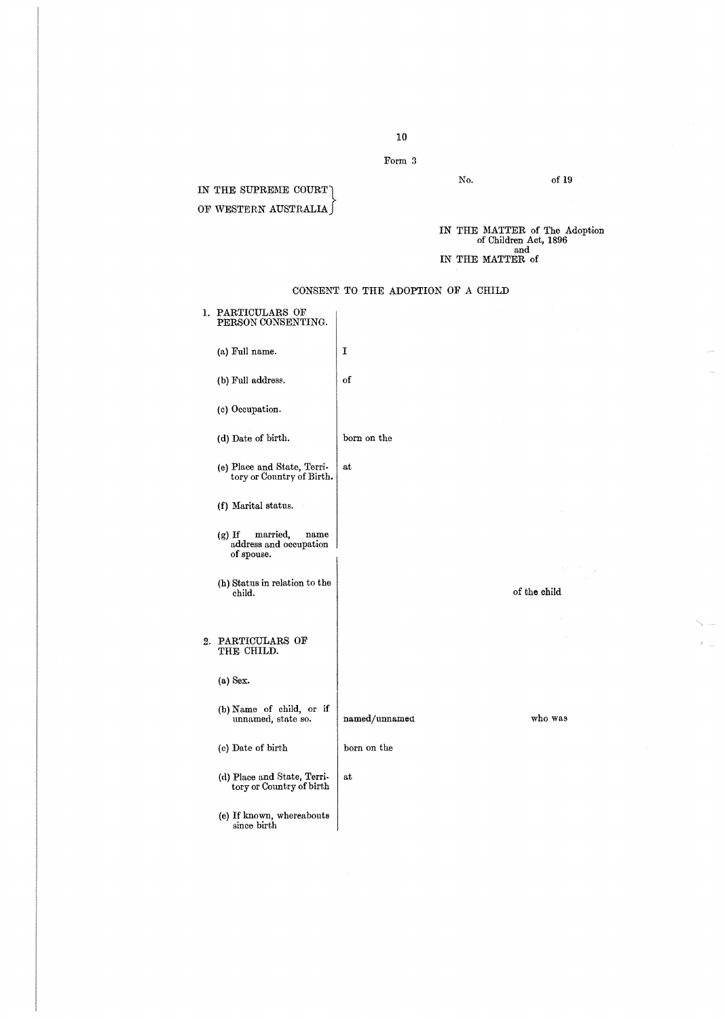Form 3

No.

of 19

 $\hat{\boldsymbol{\beta}}$ 

IN THE SUPREME COURT OF WESTERN AUSTRALIA

IN THE MATTER of The Adoption of Children Act, 1896 and IN THE MATTER of

|    | 1. PARTICULARS OF<br>PERSON CONSENTING.                              |               |              |         |
|----|----------------------------------------------------------------------|---------------|--------------|---------|
|    | (a) Full name.                                                       | I             |              |         |
|    | (b) Full address.                                                    | of            |              |         |
|    | (c) Occupation.                                                      |               |              |         |
|    | (d) Date of birth.                                                   | born on the   |              |         |
|    | (e) Place and State, Terri-<br>tory or Country of Birth.             | at            |              |         |
|    | (f) Marital status.                                                  |               |              |         |
|    | married,<br>$(g)$ If<br>name<br>address and occupation<br>of spouse. |               |              |         |
|    | (h) Status in relation to the<br>child.                              |               | of the child |         |
| 2. | PARTICULARS OF<br>THE CHILD.                                         |               |              |         |
|    | $(a)$ Sex.                                                           |               |              |         |
|    | (b) Name of child, or if<br>unnamed, state so.                       | named/unnamed |              | who was |
|    | (c) Date of birth                                                    | born on the   |              |         |
|    | (d) Place and State, Terri-<br>tory or Country of birth              | at            |              |         |
|    | (e) If known, whereabouts<br>since birth                             |               |              |         |

CONSENT TO THE ADOPTION OF A CHILD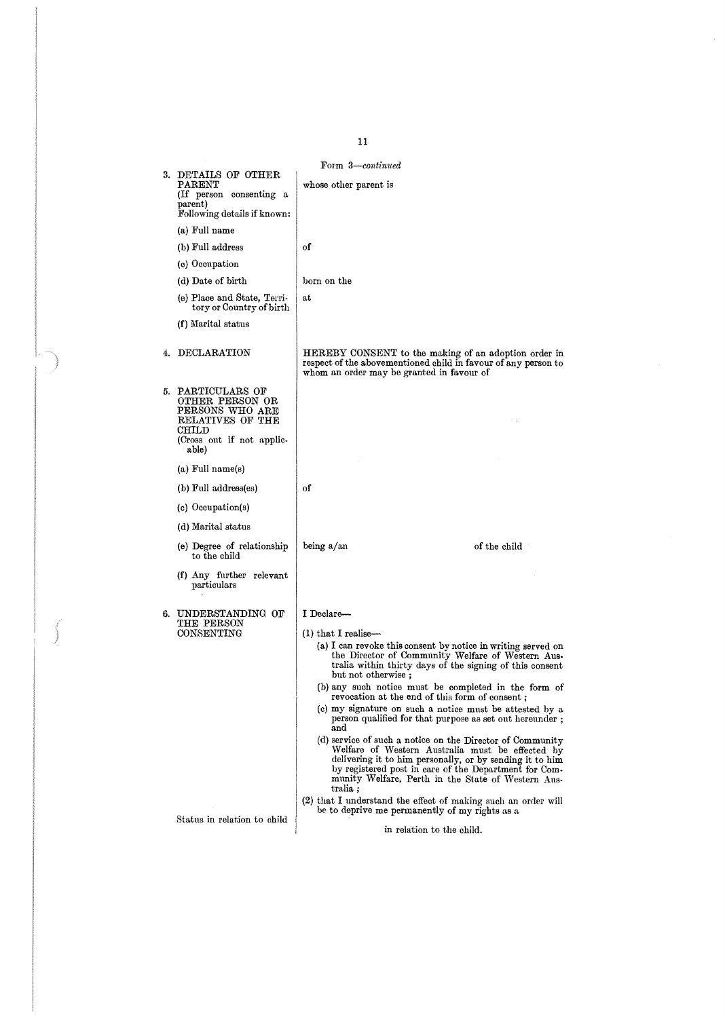### Form 3-continued

| 3. | DETAILS OF OTHER<br>$\rm{PARENT}$<br>(If person consenting a<br>parent)<br>Following details if known:                     | whose other parent is                                                                                                                                                                                                                                                                                |
|----|----------------------------------------------------------------------------------------------------------------------------|------------------------------------------------------------------------------------------------------------------------------------------------------------------------------------------------------------------------------------------------------------------------------------------------------|
|    | (a) Full name                                                                                                              |                                                                                                                                                                                                                                                                                                      |
|    | (b) Full address                                                                                                           | of                                                                                                                                                                                                                                                                                                   |
|    | (c) Occupation                                                                                                             |                                                                                                                                                                                                                                                                                                      |
|    | (d) Date of birth                                                                                                          | born on the                                                                                                                                                                                                                                                                                          |
|    | (e) Place and State, Terri-<br>tory or Country of birth                                                                    | at                                                                                                                                                                                                                                                                                                   |
|    | (f) Marital status                                                                                                         |                                                                                                                                                                                                                                                                                                      |
| 4. | DECLARATION                                                                                                                | HEREBY CONSENT to the making of an adoption order in<br>respect of the abovementioned child in favour of any person to<br>whom an order may be granted in favour of                                                                                                                                  |
|    | 5. PARTICULARS OF<br>OTHER PERSON OR<br>PERSONS WHO ARE<br>RELATIVES OF THE<br>CHILD<br>(Cross out if not applic-<br>able) |                                                                                                                                                                                                                                                                                                      |
|    | $(a)$ Full name $(s)$                                                                                                      |                                                                                                                                                                                                                                                                                                      |
|    | (b) Full address(es)                                                                                                       | of                                                                                                                                                                                                                                                                                                   |
|    | (c) Occupation(s)                                                                                                          |                                                                                                                                                                                                                                                                                                      |
|    | (d) Marital status                                                                                                         |                                                                                                                                                                                                                                                                                                      |
|    | (e) Degree of relationship<br>to the child                                                                                 | being a/an<br>of the child                                                                                                                                                                                                                                                                           |
|    | (f) Any further relevant<br>particulars                                                                                    |                                                                                                                                                                                                                                                                                                      |
|    | 6. UNDERSTANDING OF<br>THE PERSON                                                                                          | I Declare—                                                                                                                                                                                                                                                                                           |
|    | CONSENTING                                                                                                                 | $(1)$ that I realise—<br>(a) I can revoke this consent by notice in writing served on<br>the Director of Community Welfare of Western Aus-<br>tralia within thirty days of the signing of this consent<br>but not otherwise:                                                                         |
|    |                                                                                                                            | (b) any such notice must be completed in the form of<br>revocation at the end of this form of consent;                                                                                                                                                                                               |
|    |                                                                                                                            | (c) my signature on such a notice must be attested by a<br>person qualified for that purpose as set out hereunder;<br>and                                                                                                                                                                            |
|    |                                                                                                                            | (d) service of such a notice on the Director of Community<br>Welfare of Western Australia must be effected by<br>delivering it to him personally, or by sending it to him<br>by registered post in care of the Department for Com-<br>munity Welfare, Perth in the State of Western Aus-<br>tralia ; |
|    |                                                                                                                            | (2) that I understand the effect of making such an order will<br>be to deprive me permanently of my rights as a                                                                                                                                                                                      |
|    | Status in relation to child                                                                                                | in relation to the child.                                                                                                                                                                                                                                                                            |

11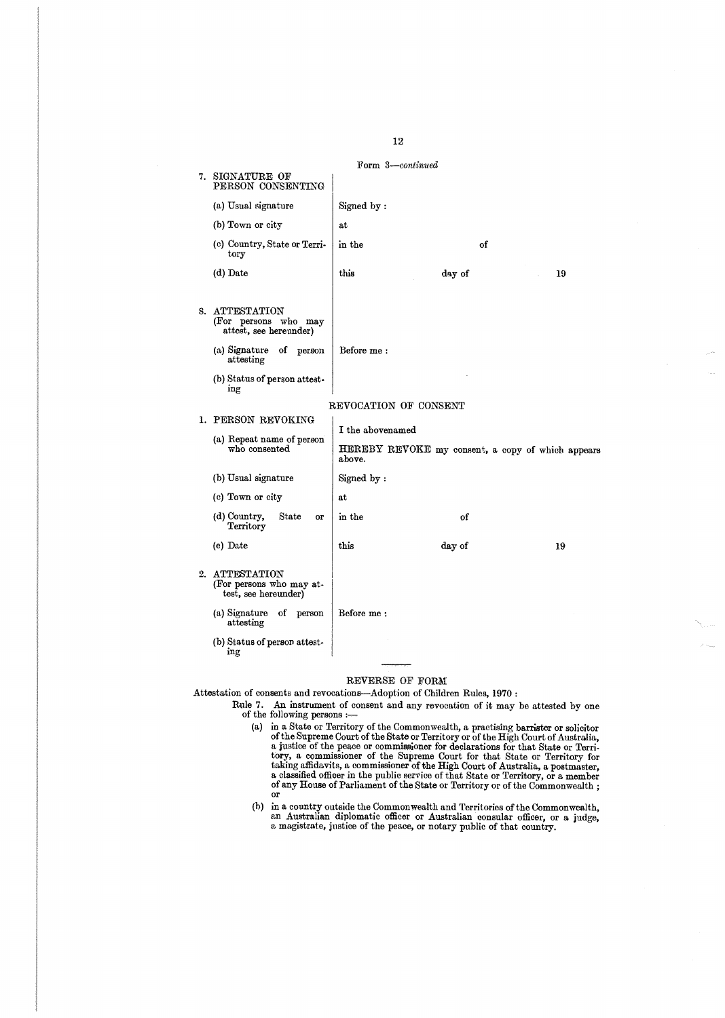7. SIGNATURE OF PERSON CONSENTING (a) Usual signature (b) Town or city (c) Country, State or Territory (d) Date S. ATTESTATION (For persons who may attest, see hereunder) (a) Signature of person attesting (b) Status of person attesting 1. PERSON REVOKING (a) Repeat name of person who consented (b) Usual signature (c) Town or city (d) Country, State or **Territory** (e) Date 2. ATTESTATION (For persons who may at-test, see hereunder) (a) Signature of person attesting (b) Status of person attesting Form 3-continued Signed by at in the of this day of 19 Before me ; REVOCATION OF CONSENT I the abovenamed HEREBY REVOKE my consent, a copy of which appears above. Signed by at in the of this day of 19 Before me

#### REVERSE OF FORM

Attestation of consents and revocations-Adoption of Children Rules, 1970:

- Rule 7. An instrument of consent and any revocation of it may be attested by one of the following persons :
	- (a) in a State or Territory of the Commonwealth, a practising barrister or solicitor of the Supreme Court of the State or Territory or of the High Court of Australia, a justice of the Super of the Supernor dental that state or Territory, a commissioner of the Superne Court for that State or Territory for that is a postmaster, taking affidavits, a commissioner of the High Court of Austra or
	- (b) in a country outside the Commonwealth and Territories of the Commonwealth<br>an Australian diplomatic officer or Australian consular officer, or a judge<br>a magistrate, justice of the peace, or notary public of that country

12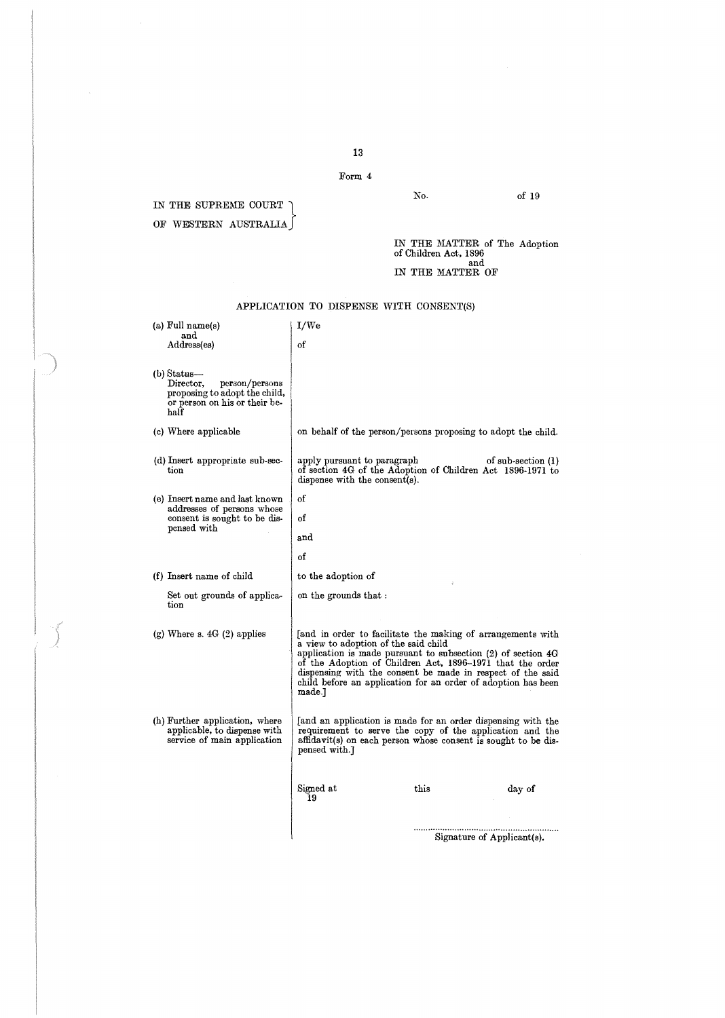Form 4

IN THE SUPREME COURT  $\bigcap$ OF WESTERN AUSTRALIA

of 19

IN THE MATTER of The Adoption of Children Act, 1896 and IN THE MATTER OF

No.

### APPLICATION TO DISPENSE WITH CONSENT(S)

|                                                                                                                                                                                                                                                                                                              | (a) Full name(s)<br>and<br>Address(es)                                                                                 | I/We<br>of                                                                                                                                                                                                                                                                                                                                                                    |      |                            |
|--------------------------------------------------------------------------------------------------------------------------------------------------------------------------------------------------------------------------------------------------------------------------------------------------------------|------------------------------------------------------------------------------------------------------------------------|-------------------------------------------------------------------------------------------------------------------------------------------------------------------------------------------------------------------------------------------------------------------------------------------------------------------------------------------------------------------------------|------|----------------------------|
|                                                                                                                                                                                                                                                                                                              | $(b)$ Status—<br>Director,<br>person/persons<br>proposing to adopt the child,<br>or person on his or their be-<br>half |                                                                                                                                                                                                                                                                                                                                                                               |      |                            |
|                                                                                                                                                                                                                                                                                                              | (c) Where applicable                                                                                                   | on behalf of the person/persons proposing to adopt the child.                                                                                                                                                                                                                                                                                                                 |      |                            |
|                                                                                                                                                                                                                                                                                                              | (d) Insert appropriate sub-sec-<br>tion                                                                                | apply pursuant to paragraph<br>of section 4G of the Adoption of Children Act 1896-1971 to<br>dispense with the consent(s).                                                                                                                                                                                                                                                    |      | of $sub-section(1)$        |
|                                                                                                                                                                                                                                                                                                              | (e) Insert name and last known                                                                                         | оf                                                                                                                                                                                                                                                                                                                                                                            |      |                            |
|                                                                                                                                                                                                                                                                                                              | addresses of persons whose<br>consent is sought to be dis-                                                             | оf                                                                                                                                                                                                                                                                                                                                                                            |      |                            |
|                                                                                                                                                                                                                                                                                                              | pensed with                                                                                                            | and                                                                                                                                                                                                                                                                                                                                                                           |      |                            |
|                                                                                                                                                                                                                                                                                                              |                                                                                                                        | of                                                                                                                                                                                                                                                                                                                                                                            |      |                            |
|                                                                                                                                                                                                                                                                                                              | (f) Insert name of child                                                                                               | to the adoption of                                                                                                                                                                                                                                                                                                                                                            |      |                            |
|                                                                                                                                                                                                                                                                                                              | Set out grounds of applica-<br>tion                                                                                    | on the grounds that :                                                                                                                                                                                                                                                                                                                                                         |      |                            |
|                                                                                                                                                                                                                                                                                                              | $(g)$ Where s. $4G(2)$ applies                                                                                         | [and in order to facilitate the making of arrangements with<br>a view to adoption of the said child<br>application is made pursuant to subsection $(2)$ of section $4G$<br>of the Adoption of Children Act, 1896-1971 that the order<br>dispensing with the consent be made in respect of the said<br>child before an application for an order of adoption has been<br>made.] |      |                            |
| (h) Further application, where<br>[and an application is made for an order dispensing with the<br>applicable, to dispense with<br>requirement to serve the copy of the application and the<br>service of main application<br>affidavit(s) on each person whose consent is sought to be dis-<br>pensed with.] |                                                                                                                        |                                                                                                                                                                                                                                                                                                                                                                               |      |                            |
|                                                                                                                                                                                                                                                                                                              |                                                                                                                        | Signed at<br>19                                                                                                                                                                                                                                                                                                                                                               | this | day of                     |
|                                                                                                                                                                                                                                                                                                              |                                                                                                                        |                                                                                                                                                                                                                                                                                                                                                                               |      | Signature of Applicant(s). |

. . . . . . . . . . . . . . . . . . . . . . . . . . . . . . . . . . . . . . . . . . . . . . . . . . . . Signature of Applicant(s) .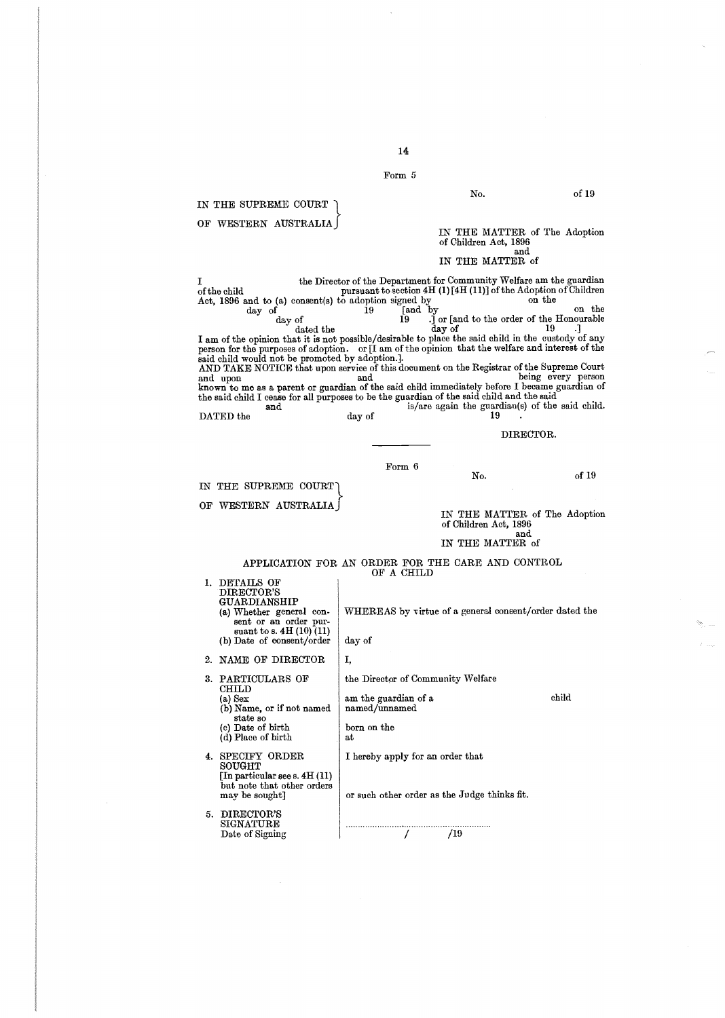Form 5

14

IN THE SUPREME COURT OF WESTERN AUSTRALIA I the Director of the Department for Community Welfare am the guardian<br>of the child pursuant to section 4H (1) [4H (11)] of the Adoption of Children Act, 1896 and to (a) consent(s) to adoption signed by on the day of the day of the fand by  $\begin{array}{c} \text{on the} \\ \text{and by} \end{array}$ day of 19 .j or [and to the order of the Honourable<br>dated the day of 19 .j ... I am of the opinion that it is not possible/desirable to place the said child in the custody of any person for the purposes of adoption . or [I am of the opinion that the welfare and interest of the said child would not be promoted by adoption.].<br>AND TAKE NOTICE that upon service of this document on the Registrar of the Supreme Cour and upon and being every person known to me as a parent or guardian of the said child immediately before I became guardian of the said child I cease for all purposes to be the guardian of the said child and the said and is/are again the guardian(s) of the said child.<br> $19$ DATED the day of DIRECTOR. Form 6 No. of 19 IN THE SUPREME COURT OF WESTERN AUSTRALIA APPLICATION FOR AN ORDER FOR THE CARE AND CONTROL OF A CHILD 1. DETAILS OF<br>DIRECTOR'S<br>GUARDIANSHIP (a) Whether general consent or an order pursuant to s.  $4H(10)(11)$ (b) Date of consent/order 2. NAME OF DIRECTOR 3. PARTICULARS OF CHILD (a) Sex (b) Name, or if not named state so (e) Date of birth (d) Place of birth 4 . SPECIFY ORDER SOUGHT [In particular see s. 4H (11) but note that other orders may be sought] 5. DIRECTOR'S SIGNATURE Date of Signing WHEREAS by virtue of a general consent/order dated the day of I, the Director of Community Welfare am the guardian of a named/unnamed born on the at I hereby apply for an order that No. of 19 IN THE MATTER of The Adoption of Children Act, 1896<br>and<br> IN THE MATTER of IN THE MATTER of The Adoption of Children Act, 1896 and IN THE MATTER of or such other order as the Judge thinks fit. . . . . . . . . . . . . . . . . . . . . . . . . . . . . . . . . . . . . . . . . . . . . . . . . . . . . . . . . . . . . child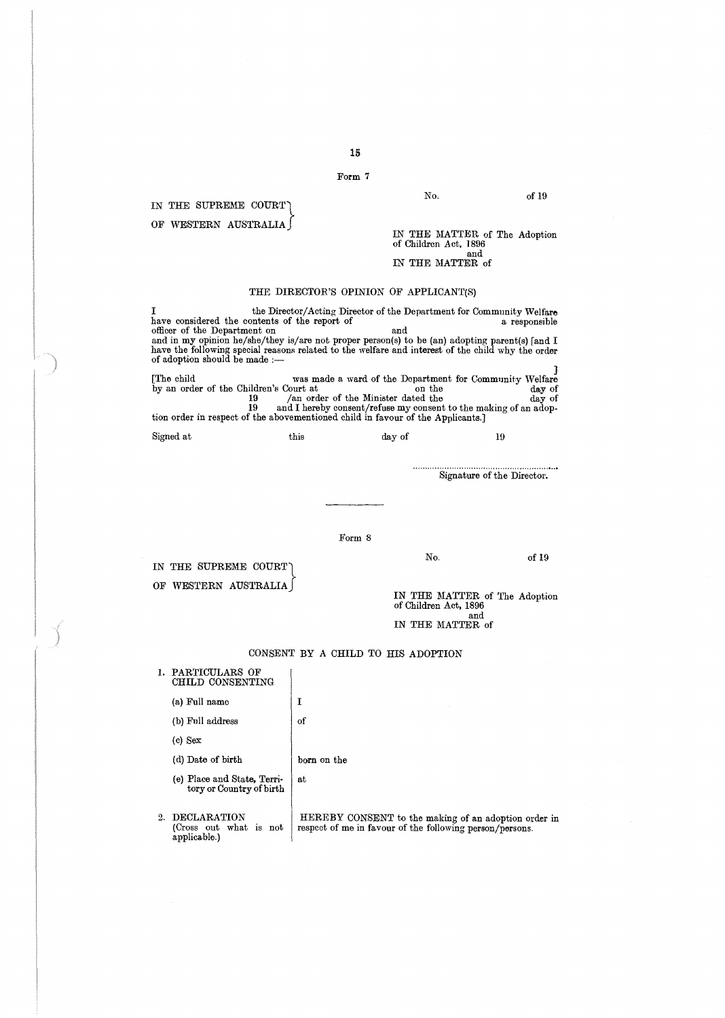Form 7

IN THE SUPREME COURT OF WESTERN AUSTRALIA

No.

Of 19

IN THE MATTER of The Adoption of Children Act, 1896 and IN THE MATTER of

#### THE DIRECTOR'S OPINION OF APPLICANT(S)

I the Director/Acting Director of the Department for Community Welfare have considered the contents of the report of<br>officer of the Department on<br>and in my opinion he/she/they is/are not proper person(s) to be (an) adopting parent(s) [and I<br>have the following special reasons related to the we of adoption should be made

was made a ward of the Department for Community Welfare<br>by an order of the Children's Court at<br>lay of the Minister dated the<br>and I hereby consent/refuse my consent to the making of an adop-<br>tion order in respect of the abo

| Signed at | this | day of |  |
|-----------|------|--------|--|
|-----------|------|--------|--|

. . . . . . . . . . . . . . . . . . . . . . . . . . . . . . . . . . . . . . . . . . . . . . . . . . . . . . . . . . . . Signature of the Director.

Form 8

No.

Of 19

OF WESTERN AUSTRALIA IN THE SUPREME COURT

IN THE MATTER of The Adoption of Children Act, 1896 and IN THE MATTER of

## CONSENT BY A CHILD TO HIS ADOPTION

| ı. | PARTICULARS OF<br>CHILD CONSENTING                       |                                                                                                                  |
|----|----------------------------------------------------------|------------------------------------------------------------------------------------------------------------------|
|    | (a) Full name                                            | Ι                                                                                                                |
|    | (b) Full address                                         | of                                                                                                               |
|    | (c) Sex                                                  |                                                                                                                  |
|    | (d) Date of birth                                        | born on the                                                                                                      |
|    | (e) Place and State, Terri-<br>tory or Country of birth  | at                                                                                                               |
|    | 2. DECLARATION<br>(Cross out what is not<br>applicable.) | HEREBY CONSENT to the making of an adoption order in<br>respect of me in favour of the following person/persons. |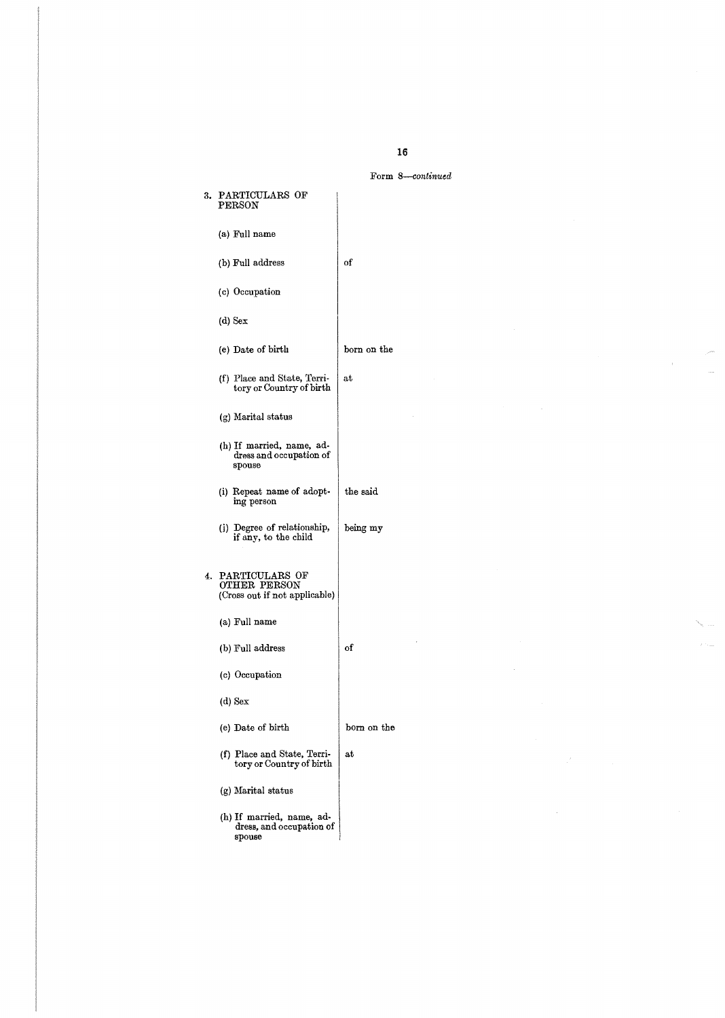## Form 8-continued

 $\hat{\mathcal{A}}$ 

 $\bar{\beta}$ 

 $\bar{s}$ 

| 3. | PARTICULARS OF<br><b>PERSON</b>                                 |                      |
|----|-----------------------------------------------------------------|----------------------|
|    | (a) Full name                                                   |                      |
|    | (b) Full address                                                | of                   |
|    | (c) Occupation                                                  |                      |
|    | (d) Sex                                                         |                      |
|    | (e) Date of birth                                               | $_{\rm born}$ on the |
|    | (f) Place and State, Terri-<br>tory or Country of birth         | at                   |
|    | (g) Marital status                                              |                      |
|    | (h) If married, name, ad-<br>dress and occupation of<br>spouse  |                      |
|    | (i) Repeat name of adopt-<br>ing person                         | the said             |
|    | (j) Degree of relationship,<br>if any, to the child             | being my             |
| 4. | PARTICULARS OF<br>OTHER PERSON<br>(Cross out if not applicable) |                      |
|    | (a) Full name                                                   |                      |
|    | (b) Full address                                                | of                   |
|    | (c) Occupation                                                  |                      |
|    | (d) Sex                                                         |                      |
|    | (e) Date of birth                                               | born on the          |
|    | (f) Place and State, Terri-<br>tory or Country of birth         | at                   |
|    | (g) Marital status                                              |                      |
|    | (h) If married, name, ad-<br>dress, and occupation of<br>spouse |                      |

16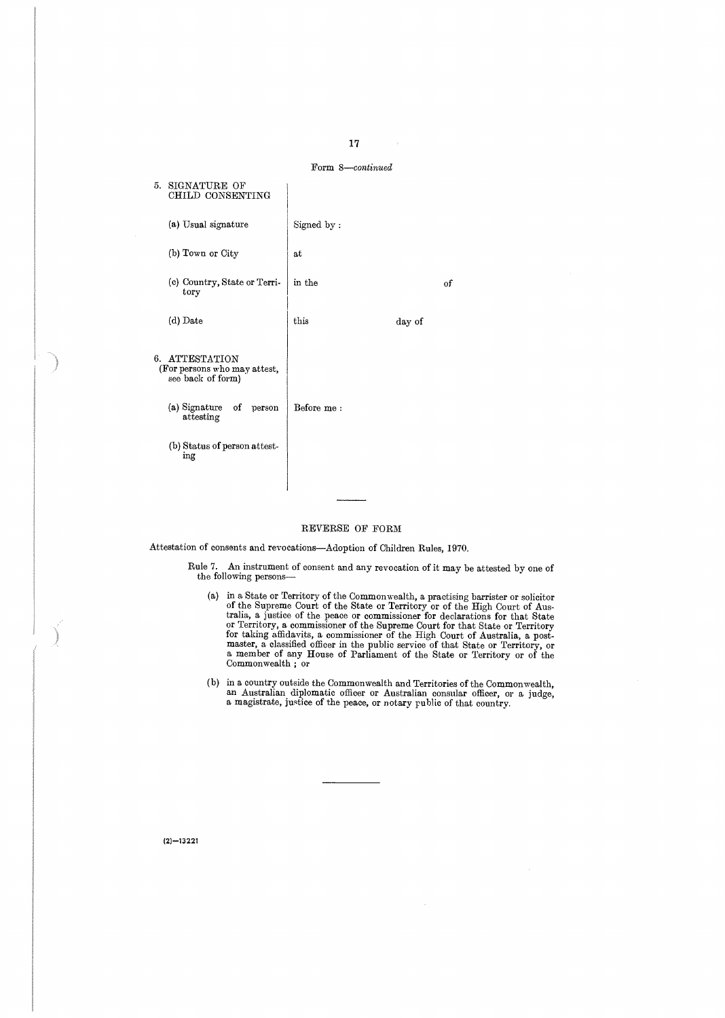

#### REVERSE OF FORM

Attestation of consents and revocations-Adoption of Children Rules, 1970.

Rule 7. An instrument of consent and any revocation of it may be attested by one of the following persons-

- (a) in a state or Territory of the Suppeme Court of the Suppeme Court of the Suppeme Court of the Suppeme Court of the Suppeme Court of the High Court of Australia, a justice of the peace or commissioner for declarations f for dating anticavity, a commissioner of the right Court of Australia, a post-<br>master, a classified officer in the public service of that State or Territory, or<br>a member of any House of Parliament of the State or Territory
- (b) in a country oneside the Commonwealth and Territories of the Commonwealth<br>an Australian diplomatic officer or Australian consular officer, or a judge<br>a magistrate, justice of the peace, or notary public of that country

 $(2) - 13221$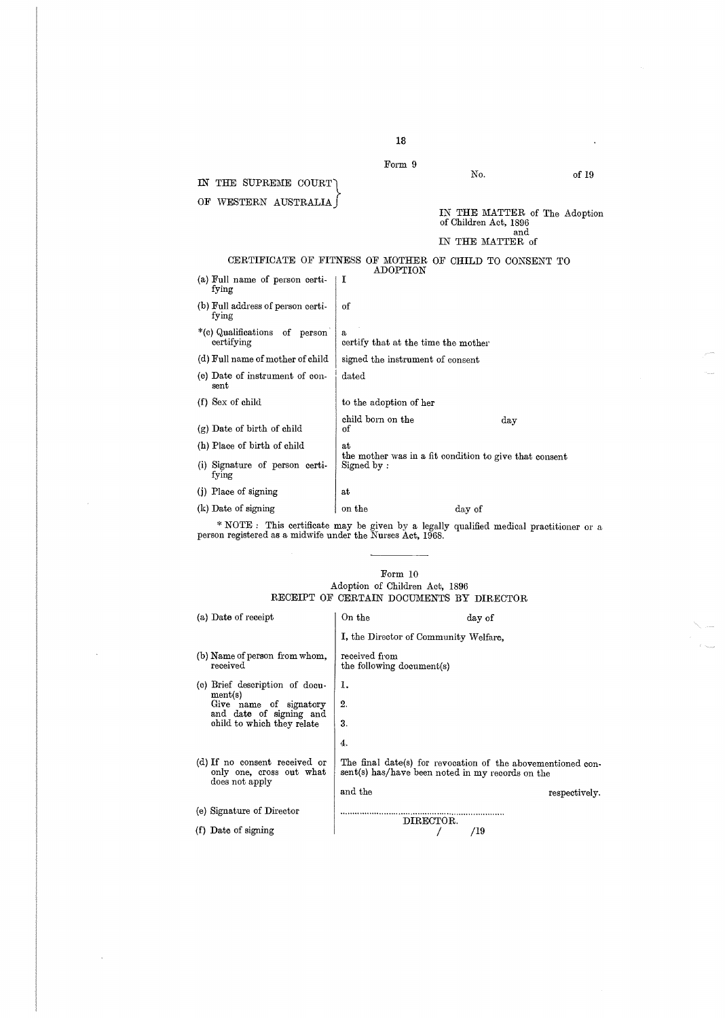|                                                         | Form 9                                   |                                                               |       |
|---------------------------------------------------------|------------------------------------------|---------------------------------------------------------------|-------|
| THE SUPREME COURT<br>IN                                 |                                          | No.                                                           | of 19 |
| WESTERN AUSTRALIA<br>ОF                                 |                                          |                                                               |       |
|                                                         |                                          | IN THE MATTER of The Adoption<br>of Children Act, 1896<br>and |       |
|                                                         |                                          | IN THE MATTER of                                              |       |
| CERTIFICATE OF FITNESS OF MOTHER OF CHILD TO CONSENT TO | ADOPTION                                 |                                                               |       |
| (a) Full name of person certi-<br>fying                 | Ι                                        |                                                               |       |
| (b) Full address of person certi-<br>fying              | of                                       |                                                               |       |
| *(c) Qualifications<br>of person<br>certifying          | s<br>certify that at the time the mother |                                                               |       |
| (d) Full name of mother of child                        | signed the instrument of consent         |                                                               |       |
| (e) Date of instrument of con-<br>sent                  | $_{\rm dated}$                           |                                                               |       |
| $(f)$ Sex of child                                      | to the adoption of her                   |                                                               |       |
| (g) Date of birth of child                              | child born on the<br>of                  | day                                                           |       |
| (h) Place of birth of child                             | at                                       |                                                               |       |
| (i) Signature of person certi-<br>fying                 | Signed by:                               | the mother was in a fit condition to give that consent        |       |
| (i) Place of signing                                    | at                                       |                                                               |       |
| (k) Date of signing                                     | on the                                   | day of                                                        |       |

\* NOTE : This certificate may be given by a legally qualified medical practitioner or a person registered as a midwife under the Nurses Act, 1968 .

#### Form 10 Adoption of Children Act, 1896 RECEIPT OF CERTAIN DOCUMENTS BY DIRECTOR

 $\ddot{\phantom{a}}$ 

 $\overline{\phantom{a}}$ 

| (a) Date of receipt                                                         | On the                                           | day of                                                      |
|-----------------------------------------------------------------------------|--------------------------------------------------|-------------------------------------------------------------|
|                                                                             | I, the Director of Community Welfare.            |                                                             |
| (b) Name of person from whom,<br>received                                   | received from<br>the following document(s)       |                                                             |
| (c) Brief description of docu-                                              | ī.                                               |                                                             |
| ment(s)<br>Give name of signatory                                           | 2.                                               |                                                             |
| and date of signing and<br>child to which they relate                       | 3.                                               |                                                             |
|                                                                             | 4.                                               |                                                             |
| (d) If no consent received or<br>only one, cross out what<br>does not apply | sent(s) has/have been noted in my records on the | The final date(s) for revocation of the abovementioned con- |
|                                                                             | and the                                          | respectively.                                               |
| (e) Signature of Director                                                   | DIRECTOR.                                        |                                                             |
| (f) Date of signing                                                         |                                                  | /19                                                         |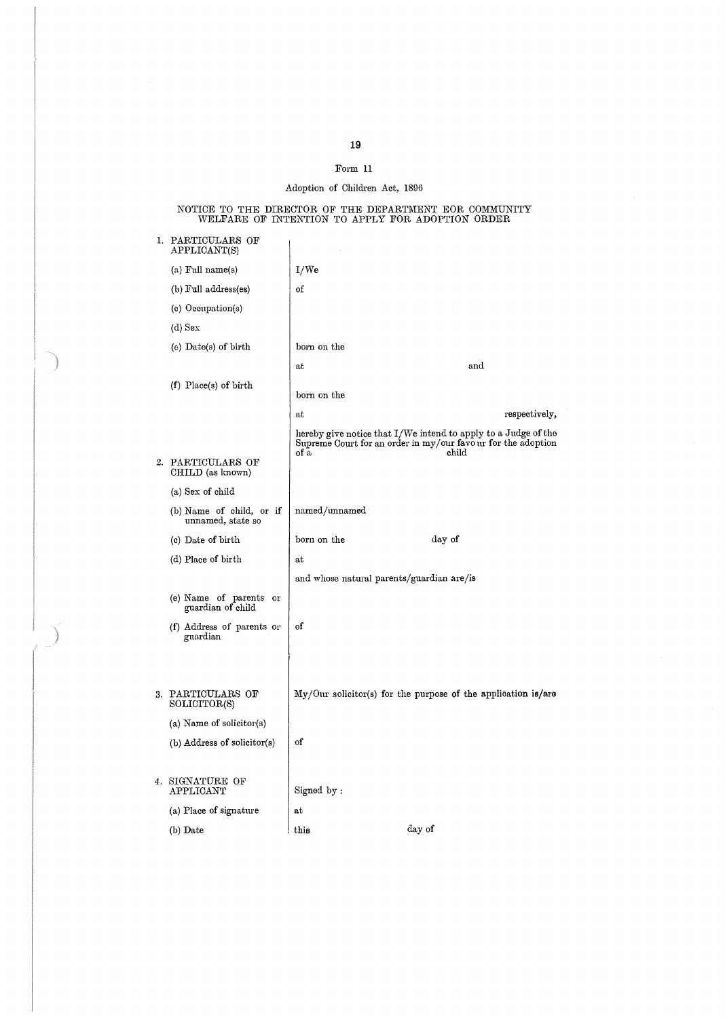$\bar{\gamma}$ 

### Form 11

## Adoption of Children Act, 1896

NOTICE TO THE DIRECTOR OF THE DEPARTMENT FOR COMMUNITY WELFARE OF INTENTION TO APPLY FOR ADOPTION ORDER

| I. | PARTICULARS OF<br>${\rm APPLICATIONT(S)}$     |                                           |                                                                                                                                         |
|----|-----------------------------------------------|-------------------------------------------|-----------------------------------------------------------------------------------------------------------------------------------------|
|    | (a) Full name(s)                              | I/We                                      |                                                                                                                                         |
|    | (b) Full address(es)                          | of                                        |                                                                                                                                         |
|    | (c) Occupation(s)                             |                                           |                                                                                                                                         |
|    | $(d)$ Sex                                     |                                           |                                                                                                                                         |
|    | (e) Date(s) of birth                          | born on the                               |                                                                                                                                         |
|    |                                               | at                                        | and                                                                                                                                     |
|    | $(f)$ Place(s) of birth                       | born on the                               |                                                                                                                                         |
|    |                                               | at                                        | respectively,                                                                                                                           |
|    | 2. PARTICULARS OF                             | of a                                      | hereby give notice that I/We intend to apply to a Judge of the<br>Supreme Court for an order in my/our favour for the adoption<br>child |
|    | CHILD (as known)                              |                                           |                                                                                                                                         |
|    | (a) Sex of child                              |                                           |                                                                                                                                         |
|    | (b) Name of child, or if<br>unnamed, state so | named/unnamed                             |                                                                                                                                         |
|    | (c) Date of birth                             | born on the                               | day of                                                                                                                                  |
|    | (d) Place of birth                            | $_{\mathrm{at}}$                          |                                                                                                                                         |
|    |                                               | and whose natural parents/guardian are/is |                                                                                                                                         |
|    | (e) Name of parents or<br>guardian of child   |                                           |                                                                                                                                         |
|    | (f) Address of parents or<br>guardian         | of                                        |                                                                                                                                         |
|    |                                               |                                           |                                                                                                                                         |
|    | 3. PARTICULARS OF<br>SOLICITOR(S)             |                                           | $\text{My}/\text{Our }$ solicitor(s) for the purpose of the application is/are                                                          |
|    | (a) Name of solicitor(s)                      |                                           |                                                                                                                                         |
|    | (b) Address of solicitor(s)                   | of                                        |                                                                                                                                         |
|    | 4. SIGNATURE OF<br>APPLICANT                  | Signed by:                                |                                                                                                                                         |
|    | (a) Place of signature                        | $_{\rm at}$                               |                                                                                                                                         |
|    | (b) Date                                      | this                                      | day of                                                                                                                                  |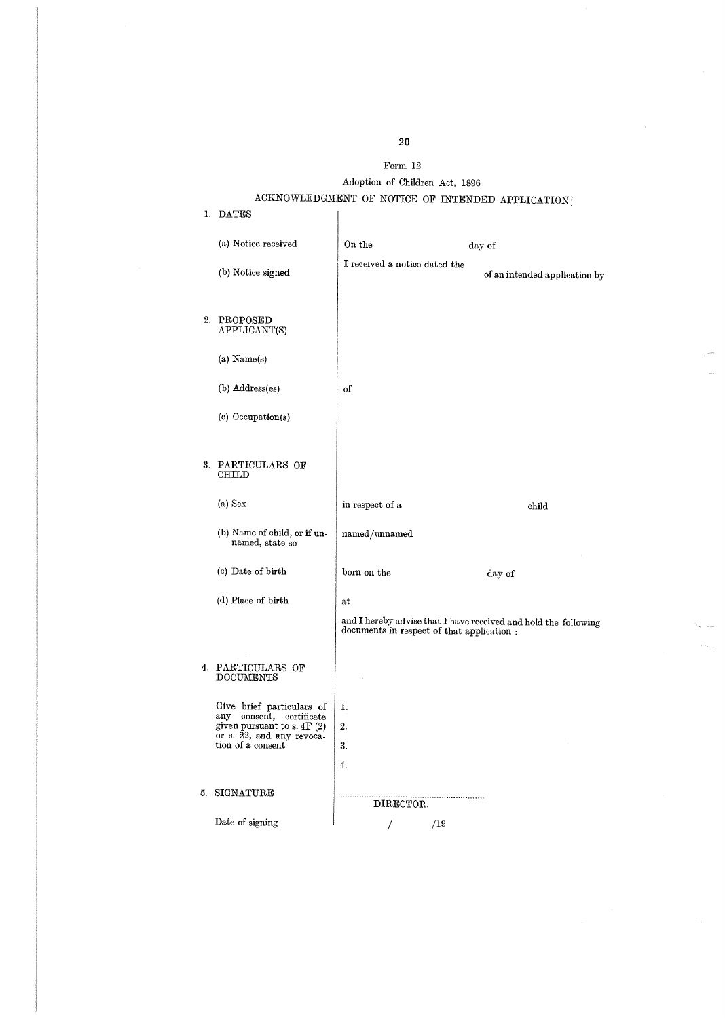## Form 12

## Adoption of Children Act, 1896 ACKNOWLEDGMENT OF NOTICE OF INTENDED APPLICATION?

| 1. DATES                                                                                                                                |                                           |                                                                 |
|-----------------------------------------------------------------------------------------------------------------------------------------|-------------------------------------------|-----------------------------------------------------------------|
| (a) Notice received                                                                                                                     | On the                                    | day of                                                          |
| (b) Notice signed                                                                                                                       | I received a notice dated the             | of an intended application by                                   |
| 2. PROPOSED<br>APPLICANT(S)                                                                                                             |                                           |                                                                 |
| $(a)$ Name $(s)$                                                                                                                        |                                           |                                                                 |
| (b) Address(es)                                                                                                                         | of                                        |                                                                 |
| (c) Occupation(s)                                                                                                                       |                                           |                                                                 |
|                                                                                                                                         |                                           |                                                                 |
| 3. PARTICULARS OF<br>CHILD                                                                                                              |                                           |                                                                 |
| (a) Sex                                                                                                                                 | in respect of a                           | child                                                           |
| (b) Name of child, or if un-<br>named, state so                                                                                         | named/unnamed                             |                                                                 |
| (c) Date of birth                                                                                                                       | born on the                               | day of                                                          |
| (d) Place of birth                                                                                                                      | at                                        |                                                                 |
|                                                                                                                                         | documents in respect of that application. | and I hereby advise that I have received and hold the following |
| 4. PARTICULARS OF<br><b>DOCUMENTS</b>                                                                                                   |                                           |                                                                 |
| Give brief particulars of<br>any consent, certificate<br>given pursuant to s. $4F(2)$<br>or s. 22, and any revoca-<br>tion of a consent | ı.<br>2.<br>3.                            |                                                                 |
|                                                                                                                                         | 4.                                        |                                                                 |
| 5. SIGNATURE                                                                                                                            | DIRECTOR.                                 |                                                                 |
| Date of signing                                                                                                                         | /19<br>7                                  |                                                                 |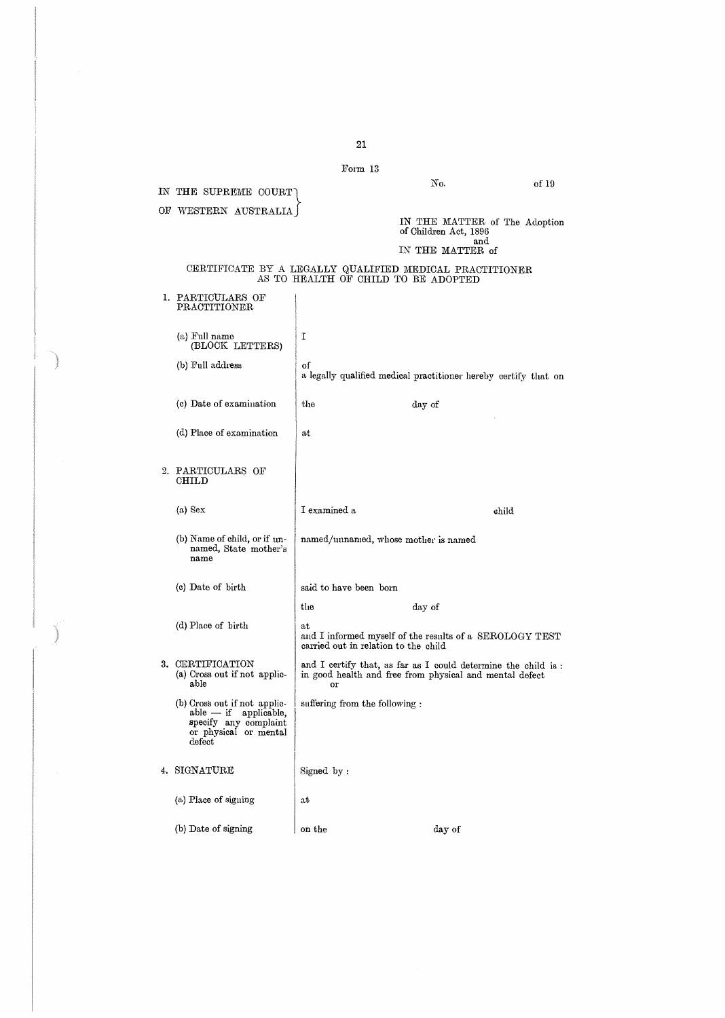|                                                                                                                             | Form 13                                                               |                                                                                                                           |       |
|-----------------------------------------------------------------------------------------------------------------------------|-----------------------------------------------------------------------|---------------------------------------------------------------------------------------------------------------------------|-------|
| IN THE SUPREME COURT                                                                                                        |                                                                       | No.                                                                                                                       | of 19 |
| OF WESTERN AUSTRALIA                                                                                                        |                                                                       |                                                                                                                           |       |
|                                                                                                                             |                                                                       | IN THE MATTER of The Adoption<br>of Children Act, 1896<br>and                                                             |       |
|                                                                                                                             |                                                                       | IN THE MATTER of                                                                                                          |       |
|                                                                                                                             | AS TO HEALTH OF CHILD TO BE ADOPTED                                   | CERTIFICATE BY A LEGALLY QUALIFIED MEDICAL PRACTITIONER                                                                   |       |
| 1. PARTICULARS OF<br>PRACTITIONER                                                                                           |                                                                       |                                                                                                                           |       |
| (a) Full name<br>(BLOCK LETTERS)                                                                                            | Ί                                                                     |                                                                                                                           |       |
| (b) Full address                                                                                                            | of<br>a legally qualified medical practitioner hereby certify that on |                                                                                                                           |       |
| (c) Date of examination                                                                                                     | the                                                                   | day of                                                                                                                    |       |
| (d) Place of examination                                                                                                    | at                                                                    |                                                                                                                           |       |
| 2. PARTICULARS OF<br>CHILD                                                                                                  |                                                                       |                                                                                                                           |       |
| (a) Sex                                                                                                                     | I examined a                                                          |                                                                                                                           |       |
|                                                                                                                             |                                                                       | child                                                                                                                     |       |
| (b) Name of child, or if un-<br>named, State mother's<br>name                                                               | named/unnamed, whose mother is named                                  |                                                                                                                           |       |
| (c) Date of birth                                                                                                           | said to have been born                                                |                                                                                                                           |       |
|                                                                                                                             | the                                                                   | day of                                                                                                                    |       |
| (d) Place of birth                                                                                                          | at<br>carried out in relation to the child                            | and I informed myself of the results of a SEROLOGY TEST                                                                   |       |
| 3. CERTIFICATION<br>(a) Cross out if not applic-<br>able                                                                    | or                                                                    | and I certify that, as far as I could determine the child is :<br>in good health and free from physical and mental defect |       |
| (b) Cross out if not applic-<br>applicable,<br>$_{\rm able-if}$<br>specify any complaint<br>or physical or mental<br>defect | suffering from the following :                                        |                                                                                                                           |       |
| 4. SIGNATURE                                                                                                                | Signed by:                                                            |                                                                                                                           |       |
| (a) Place of signing                                                                                                        | at                                                                    |                                                                                                                           |       |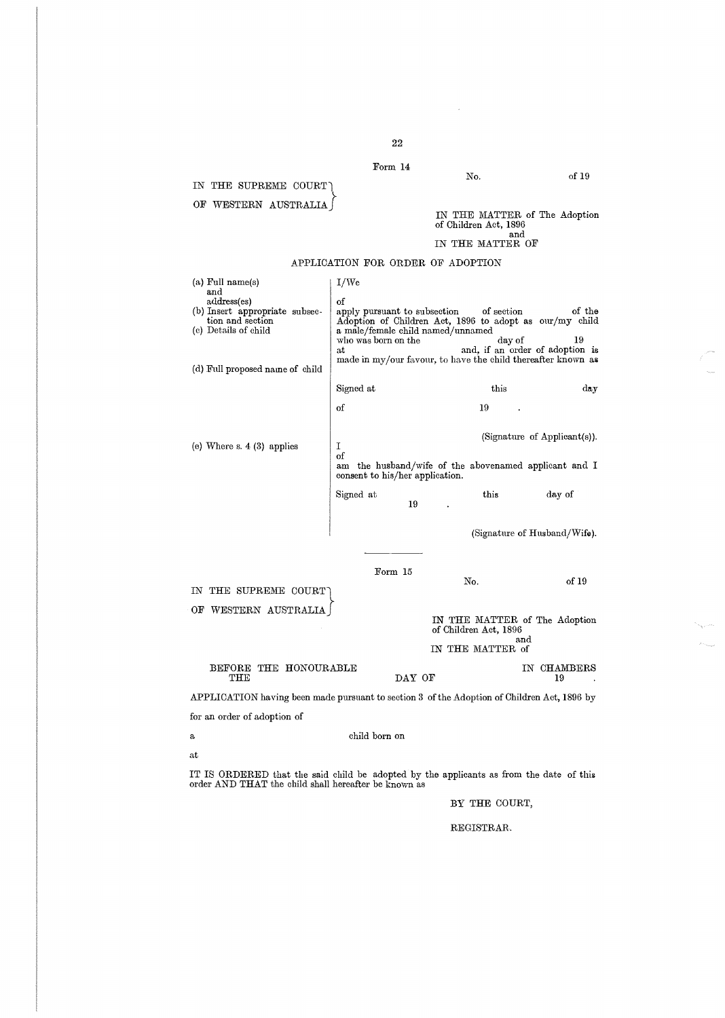22 Form 14

## IN THE SUPREME COURT) OF WESTERN AUSTRALIA

# IN THE MATTER of The Adoption of Children Act, 1896 and

## IN THE MATTER OF

| $(a)$ Full name $(s)$<br>and<br>address(es)<br>(b) Insert appropriate subsec-<br>tion and section<br>(c) Details of child<br>(d) Full proposed name of child | 1/W <sub>e</sub><br>οf<br>apply pursuant to subsection<br>who was born on the<br>зt                                                 | a male/female child named/unnamed | of section<br>of the<br>Adoption of Children Act, 1896 to adopt as our/my child<br>19<br>day of<br>and, if an order of adoption is<br>made in my/our favour, to have the child thereafter known as |
|--------------------------------------------------------------------------------------------------------------------------------------------------------------|-------------------------------------------------------------------------------------------------------------------------------------|-----------------------------------|----------------------------------------------------------------------------------------------------------------------------------------------------------------------------------------------------|
|                                                                                                                                                              | Signed at                                                                                                                           |                                   | this<br>day                                                                                                                                                                                        |
|                                                                                                                                                              | of                                                                                                                                  | 19                                |                                                                                                                                                                                                    |
| (e) Where $s. 4$ (3) applies                                                                                                                                 | (Signature of Applicant(s)).<br>I<br>of<br>am the husband/wife of the abovenamed applicant and I<br>consent to his/her application. |                                   |                                                                                                                                                                                                    |
|                                                                                                                                                              | Signed at                                                                                                                           | this<br>19                        | day of                                                                                                                                                                                             |
|                                                                                                                                                              |                                                                                                                                     |                                   | (Signature of Husband/Wife).                                                                                                                                                                       |
| THE SUPREME COURT<br>IN.                                                                                                                                     | Form 15                                                                                                                             | No.                               | of 19                                                                                                                                                                                              |
| WESTERN AUSTRALIA<br>ОF                                                                                                                                      |                                                                                                                                     | of Children Act, 1896             | IN THE MATTER of The Adoption                                                                                                                                                                      |
|                                                                                                                                                              |                                                                                                                                     | IN THE MATTER of                  | and                                                                                                                                                                                                |
| BEFORE THE HONOURABLE<br>THE                                                                                                                                 |                                                                                                                                     | DAY OF                            | IN CHAMBERS<br>19                                                                                                                                                                                  |

APPLICATION FOR ORDER OF ADOPTION

APPLICATION having been made pursuant to section 3 of the Adoption of Children Act, 1896 by for an order of adoption of

a child born on

at

IT IS ORDERED that the said child be adopted by the applicants as from the date of this order AND THAT the child shall hereafter be known as

### BY THE COURT,

REGISTRAR.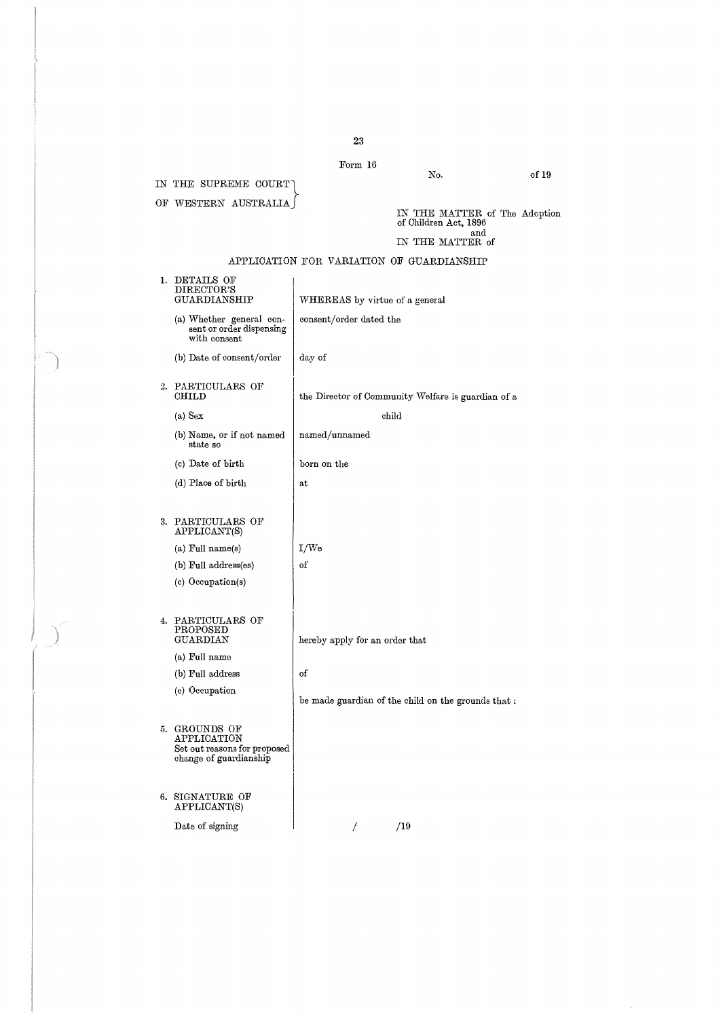Form 16

IN THE SUPREME COURT OF WESTERN AUSTRALIA of 19

IN THE MATTER of The Adoption of Children Act, 1896 and IN THE MATTER of

No.

## APPLICATION FOR VARIATION OF GUARDIANSHIP

|    | 1. DETAILS OF<br>DIRECTOR'S<br>GUARDIANSHIP                                            | WHEREAS by virtue of a general                     |
|----|----------------------------------------------------------------------------------------|----------------------------------------------------|
|    | (a) Whether general con-<br>sent or order dispensing<br>with consent                   | consent/order dated the                            |
|    | (b) Date of consent/order                                                              | day of                                             |
| 2. | PARTICULARS OF<br>CHILD                                                                | the Director of Community Welfare is guardian of a |
|    | $(a)$ Sex                                                                              | child                                              |
|    | (b) Name, or if not named<br>state so                                                  | named/unnamed                                      |
|    | (c) Date of birth                                                                      | born on the                                        |
|    | (d) Place of birth                                                                     | at                                                 |
|    |                                                                                        |                                                    |
|    | 3. PARTICULARS OF<br>APPLICANT(S)                                                      |                                                    |
|    | (a) Full name(s)                                                                       | I/W <sub>e</sub>                                   |
|    | (b) Full address(es)                                                                   | of                                                 |
|    | (c) Occupation(s)                                                                      |                                                    |
|    |                                                                                        |                                                    |
| 4. | PARTICULARS OF<br>PROPOSED<br>GUARDIAN                                                 | hereby apply for an order that                     |
|    | (a) Full name                                                                          |                                                    |
|    | (b) Full address                                                                       | of                                                 |
|    | (c) Occupation                                                                         | be made guardian of the child on the grounds that: |
|    | 5. GROUNDS OF<br>APPLICATION<br>Set out reasons for proposed<br>change of guardianship |                                                    |
|    | 6. SIGNATURE OF<br>APPLICANT(S)                                                        |                                                    |
|    | Date of signing                                                                        | /19<br>T                                           |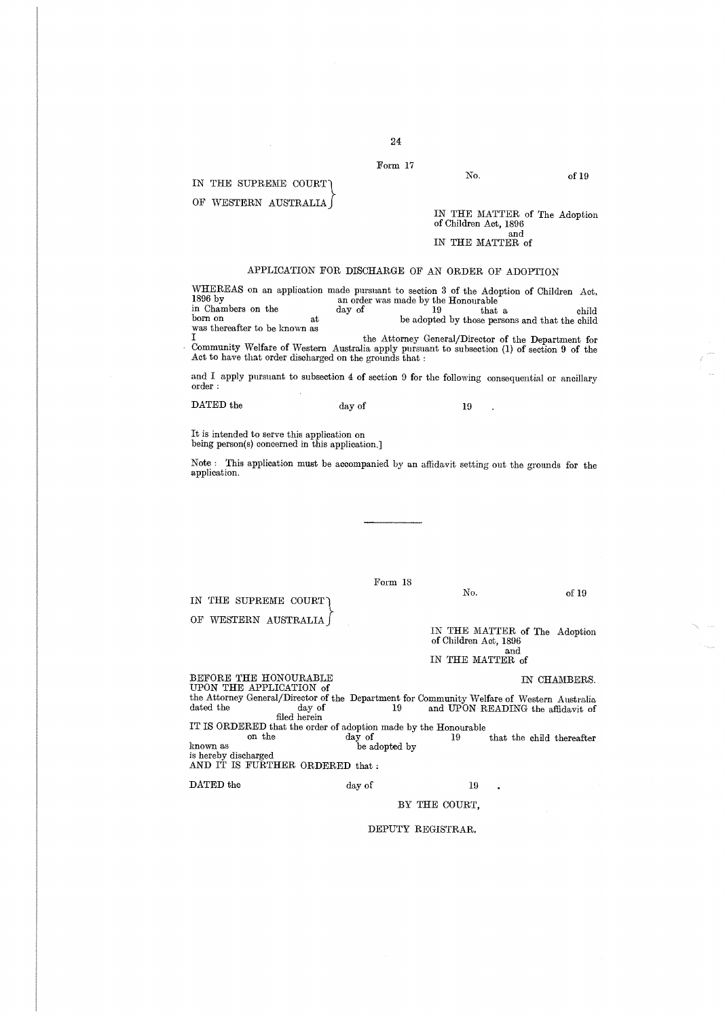#### Form 17

#### IN THE SUPREME COURT

OF WESTERN AUSTRALIA

IN THE MATTER of The Adoption of Children Act, 1896 and IN THE MATTER of

No.

## APPLICATION FOR DISCHARGE OF AN ORDER OF ADOPTION

WHEREAS on an application made pursuant to section 3 of the Adoption of Children Act,<br>
1896 by<br>
chambers on the day of 19 that a child<br>
leady of 19 that a child born on at be adopted by those persons and that the child was thereafter to be known as

I the Attorney General/Director of the Department for<br>Community Welfare of Western Australia apply pursuant to subsection (1) of section 9 of the<br>Act to have that order discharged on the grounds that :

and I apply pursuant to subsection 4 of section 9 for the following consequential or ancillary order

DATED the

IN THE SUPREME COURT OF WESTERN AUSTRALIA day of 19

 $\overline{a}$ 

It is intended to serve this application on being person(s) concerned in this application.]

Note : This application must be accompanied by an affidavit setting out the grounds for the application.

Form 18

of 19

IN THE MATTER of The Adoption of Children Act, 1896 and<br>IN THE MATTER of IN THE MATTER of

BEFORE THE HONOURABLE IN CHAMBERS.<br>
UPON THE APPLICATION of the Attorney General/Director of the Department for Community Welfare of Western Australia<br>dated the day of 19 and UPON READING the affidavit of<br> $\frac{2}{\pi}$  and  $\frac{1}{\pi}$  and UPON READING the affidavit of IT IS ORDERED that the order of adoption made by the Honourable<br>on the day of 19  $\hat{y}$  of 19 that the child thereafter be adopted by known as be adopted by is hereby discharged AND IT IS FURTHER ORDERED that

DATED the day of 19

No.

### BY THE COURT,

#### DEPUTY REGISTRAR.

of 19